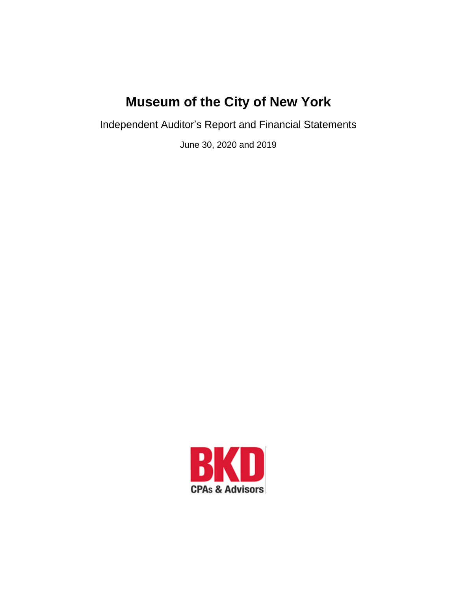# **Museum of the City of New York**

Independent Auditor's Report and Financial Statements

June 30, 2020 and 2019

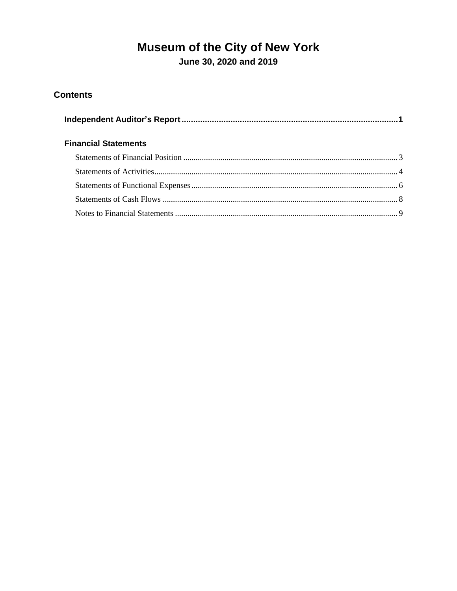# Museum of the City of New York

June 30, 2020 and 2019

# **Contents**

| <b>Financial Statements</b> |  |
|-----------------------------|--|
|                             |  |
|                             |  |
|                             |  |
|                             |  |
|                             |  |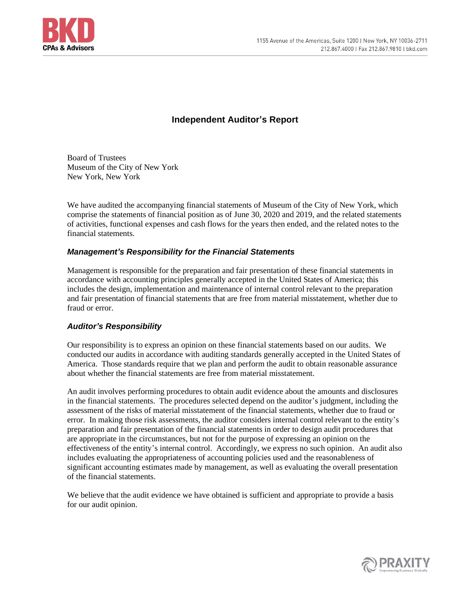

# **Independent Auditor's Report**

<span id="page-2-0"></span>Board of Trustees Museum of the City of New York New York, New York

We have audited the accompanying financial statements of Museum of the City of New York, which comprise the statements of financial position as of June 30, 2020 and 2019, and the related statements of activities, functional expenses and cash flows for the years then ended, and the related notes to the financial statements.

### *Management's Responsibility for the Financial Statements*

Management is responsible for the preparation and fair presentation of these financial statements in accordance with accounting principles generally accepted in the United States of America; this includes the design, implementation and maintenance of internal control relevant to the preparation and fair presentation of financial statements that are free from material misstatement, whether due to fraud or error.

# *Auditor's Responsibility*

Our responsibility is to express an opinion on these financial statements based on our audits. We conducted our audits in accordance with auditing standards generally accepted in the United States of America. Those standards require that we plan and perform the audit to obtain reasonable assurance about whether the financial statements are free from material misstatement.

An audit involves performing procedures to obtain audit evidence about the amounts and disclosures in the financial statements. The procedures selected depend on the auditor's judgment, including the assessment of the risks of material misstatement of the financial statements, whether due to fraud or error. In making those risk assessments, the auditor considers internal control relevant to the entity's preparation and fair presentation of the financial statements in order to design audit procedures that are appropriate in the circumstances, but not for the purpose of expressing an opinion on the effectiveness of the entity's internal control. Accordingly, we express no such opinion. An audit also includes evaluating the appropriateness of accounting policies used and the reasonableness of significant accounting estimates made by management, as well as evaluating the overall presentation of the financial statements.

We believe that the audit evidence we have obtained is sufficient and appropriate to provide a basis for our audit opinion.

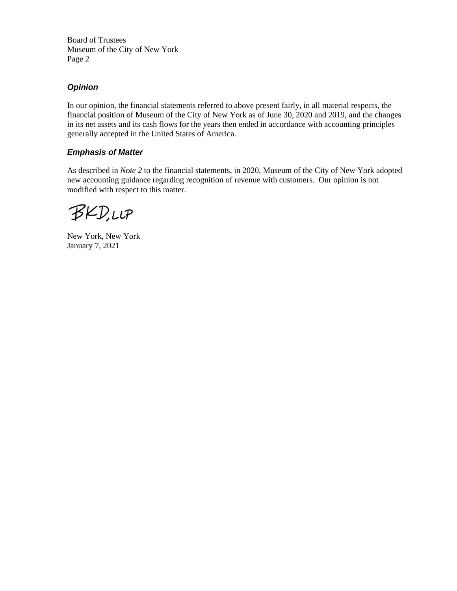Board of Trustees Museum of the City of New York Page 2

# *Opinion*

In our opinion, the financial statements referred to above present fairly, in all material respects, the financial position of Museum of the City of New York as of June 30, 2020 and 2019, and the changes in its net assets and its cash flows for the years then ended in accordance with accounting principles generally accepted in the United States of America.

### *Emphasis of Matter*

As described in *Note 2* to the financial statements, in 2020, Museum of the City of New York adopted new accounting guidance regarding recognition of revenue with customers. Our opinion is not modified with respect to this matter.

**BKD,LLP** 

New York, New York January 7, 2021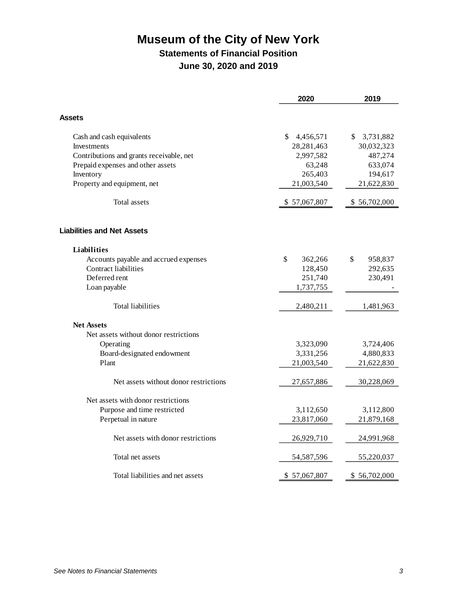# **Museum of the City of New York Statements of Financial Position June 30, 2020 and 2019**

<span id="page-4-0"></span>

|                                          | 2020            | 2019            |
|------------------------------------------|-----------------|-----------------|
| <b>Assets</b>                            |                 |                 |
|                                          |                 |                 |
| Cash and cash equivalents                | \$<br>4,456,571 | 3,731,882<br>\$ |
| Investments                              | 28,281,463      | 30,032,323      |
| Contributions and grants receivable, net | 2,997,582       | 487,274         |
| Prepaid expenses and other assets        | 63,248          | 633,074         |
| Inventory                                | 265,403         | 194,617         |
| Property and equipment, net              | 21,003,540      | 21,622,830      |
| Total assets                             | \$57,067,807    | \$56,702,000    |
|                                          |                 |                 |
| <b>Liabilities and Net Assets</b>        |                 |                 |
|                                          |                 |                 |
| Liabilities                              |                 |                 |
| Accounts payable and accrued expenses    | \$<br>362,266   | \$<br>958,837   |
| Contract liabilities                     | 128,450         | 292,635         |
| Deferred rent                            | 251,740         | 230,491         |
| Loan payable                             | 1,737,755       |                 |
| Total liabilities                        | 2,480,211       | 1,481,963       |
|                                          |                 |                 |
| <b>Net Assets</b>                        |                 |                 |
| Net assets without donor restrictions    |                 |                 |
| Operating                                | 3,323,090       | 3,724,406       |
| Board-designated endowment               | 3,331,256       | 4,880,833       |
| Plant                                    | 21,003,540      | 21,622,830      |
| Net assets without donor restrictions    |                 |                 |
|                                          | 27,657,886      | 30,228,069      |
| Net assets with donor restrictions       |                 |                 |
| Purpose and time restricted              | 3,112,650       | 3,112,800       |
| Perpetual in nature                      | 23,817,060      | 21,879,168      |
|                                          |                 |                 |
| Net assets with donor restrictions       | 26,929,710      | 24,991,968      |
| Total net assets                         | 54,587,596      | 55,220,037      |
|                                          |                 |                 |
| Total liabilities and net assets         | \$57,067,807    | \$56,702,000    |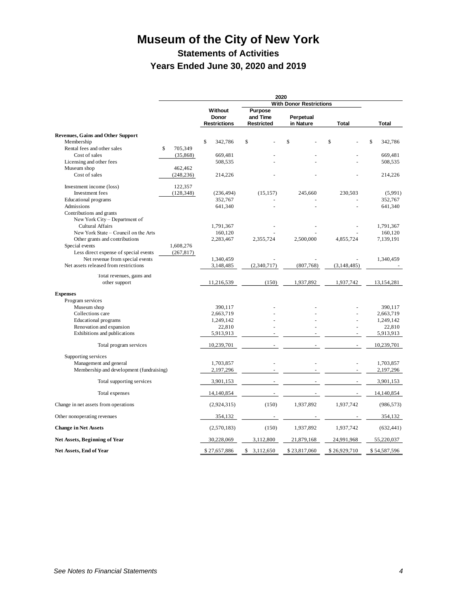# **Museum of the City of New York Statements of Activities Years Ended June 30, 2020 and 2019**

<span id="page-5-0"></span>

|                                          | 2020<br><b>With Donor Restrictions</b> |                     |                            |                    |               |               |  |  |
|------------------------------------------|----------------------------------------|---------------------|----------------------------|--------------------|---------------|---------------|--|--|
|                                          |                                        | Without<br>Donor    | <b>Purpose</b><br>and Time | Perpetual          |               |               |  |  |
|                                          |                                        | <b>Restrictions</b> | Restricted                 | in Nature          | <b>Total</b>  | Total         |  |  |
| <b>Revenues, Gains and Other Support</b> |                                        |                     |                            |                    |               |               |  |  |
| Membership                               |                                        | \$<br>342,786       | $\mathbb{S}$               | $\mathbf{\hat{S}}$ | $\mathcal{S}$ | \$<br>342.786 |  |  |
| Rental fees and other sales              | \$<br>705,349                          |                     |                            |                    |               |               |  |  |
| Cost of sales                            | (35,868)                               | 669,481             |                            |                    |               | 669,481       |  |  |
| Licensing and other fees                 |                                        | 508,535             |                            |                    |               | 508,535       |  |  |
| Museum shop                              | 462,462                                |                     |                            |                    |               |               |  |  |
| Cost of sales                            | (248, 236)                             | 214,226             |                            |                    |               | 214,226       |  |  |
| Investment income (loss)                 | 122,357                                |                     |                            |                    |               |               |  |  |
| Investment fees                          | (128, 348)                             | (236, 494)          | (15, 157)                  | 245,660            | 230,503       | (5,991)       |  |  |
| <b>Educational</b> programs              |                                        | 352,767             |                            |                    |               | 352,767       |  |  |
| Admissions                               |                                        | 641,340             |                            |                    |               | 641,340       |  |  |
| Contributions and grants                 |                                        |                     |                            |                    |               |               |  |  |
| New York City - Department of            |                                        |                     |                            |                    |               |               |  |  |
| <b>Cultural Affairs</b>                  |                                        | 1,791,367           |                            |                    |               | 1,791,367     |  |  |
| New York State – Council on the Arts     |                                        | 160,120             |                            |                    |               | 160,120       |  |  |
| Other grants and contributions           |                                        | 2,283,467           | 2,355,724                  | 2,500,000          | 4,855,724     | 7,139,191     |  |  |
| Special events                           | 1,608,276                              |                     |                            |                    |               |               |  |  |
| Less direct expense of special events    | (267, 817)                             |                     |                            |                    |               |               |  |  |
| Net revenue from special events          |                                        | 1,340,459           |                            |                    |               | 1,340,459     |  |  |
| Net assets released from restrictions    |                                        | 3,148,485           | (2,340,717)                | (807,768)          | (3, 148, 485) |               |  |  |
| Total revenues, gains and                |                                        |                     |                            |                    |               |               |  |  |
| other support                            |                                        | 11,216,539          | (150)                      | 1,937,892          | 1,937,742     | 13,154,281    |  |  |
| <b>Expenses</b>                          |                                        |                     |                            |                    |               |               |  |  |
| Program services                         |                                        |                     |                            |                    |               |               |  |  |
| Museum shop                              |                                        | 390,117             |                            |                    |               | 390,117       |  |  |
| Collections care                         |                                        | 2,663,719           |                            |                    |               | 2,663,719     |  |  |
| <b>Educational programs</b>              |                                        | 1,249,142           |                            |                    |               | 1,249,142     |  |  |
| Renovation and expansion                 |                                        | 22,810              |                            |                    |               | 22,810        |  |  |
| Exhibitions and publications             |                                        | 5,913,913           |                            |                    |               | 5,913,913     |  |  |
| Total program services                   |                                        | 10,239,701          |                            |                    |               | 10,239,701    |  |  |
| Supporting services                      |                                        |                     |                            |                    |               |               |  |  |
| Management and general                   |                                        | 1,703,857           |                            |                    |               | 1,703,857     |  |  |
| Membership and development (fundraising) |                                        | 2,197,296           |                            |                    |               | 2,197,296     |  |  |
| Total supporting services                |                                        | 3,901,153           |                            |                    |               | 3,901,153     |  |  |
|                                          |                                        |                     |                            |                    |               |               |  |  |
| Total expenses                           |                                        | 14,140,854          |                            |                    |               | 14,140,854    |  |  |
| Change in net assets from operations     |                                        | (2,924,315)         | (150)                      | 1,937,892          | 1,937,742     | (986, 573)    |  |  |
| Other nonoperating revenues              |                                        | 354,132             |                            |                    |               | 354,132       |  |  |
| <b>Change in Net Assets</b>              |                                        | (2,570,183)         | (150)                      | 1,937,892          | 1,937,742     | (632, 441)    |  |  |
| Net Assets, Beginning of Year            |                                        | 30,228,069          | 3,112,800                  | 21,879,168         | 24,991,968    | 55,220,037    |  |  |
| Net Assets, End of Year                  |                                        | \$27,657,886        | 3,112,650<br>S             | \$23,817,060       | \$26,929,710  | \$54,587,596  |  |  |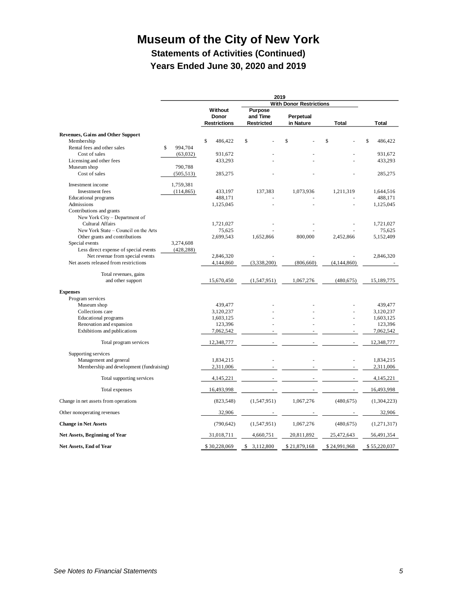# **Museum of the City of New York Statements of Activities (Continued) Years Ended June 30, 2020 and 2019**

|                                          | 2019<br><b>With Donor Restrictions</b> |                               |                            |                    |                |               |  |  |  |
|------------------------------------------|----------------------------------------|-------------------------------|----------------------------|--------------------|----------------|---------------|--|--|--|
|                                          |                                        |                               |                            |                    |                |               |  |  |  |
|                                          |                                        | Without<br>Donor              | <b>Purpose</b><br>and Time | Perpetual          |                |               |  |  |  |
|                                          |                                        | <b>Restrictions</b>           | <b>Restricted</b>          | in Nature          | <b>Total</b>   | Total         |  |  |  |
|                                          |                                        |                               |                            |                    |                |               |  |  |  |
| <b>Revenues, Gains and Other Support</b> |                                        |                               |                            |                    |                |               |  |  |  |
| Membership                               |                                        | $\mathbf{\hat{S}}$<br>486,422 | \$                         | $\mathbf{\hat{S}}$ | \$             | \$<br>486,422 |  |  |  |
| Rental fees and other sales              | \$<br>994,704                          |                               |                            |                    |                |               |  |  |  |
| Cost of sales                            | (63,032)                               | 931,672                       |                            |                    |                | 931,672       |  |  |  |
| Licensing and other fees<br>Museum shop  | 790,788                                | 433,293                       |                            |                    |                | 433,293       |  |  |  |
| Cost of sales                            | (505, 513)                             | 285,275                       |                            |                    |                | 285,275       |  |  |  |
|                                          |                                        |                               |                            |                    |                |               |  |  |  |
| Investment income                        | 1,759,381                              |                               |                            |                    |                |               |  |  |  |
| Investment fees                          | (114, 865)                             | 433,197                       | 137,383                    | 1,073,936          | 1,211,319      | 1,644,516     |  |  |  |
| <b>Educational</b> programs              |                                        | 488,171                       |                            |                    |                | 488,171       |  |  |  |
| Admissions                               |                                        | 1,125,045                     | $\overline{a}$             |                    | $\overline{a}$ | 1,125,045     |  |  |  |
| Contributions and grants                 |                                        |                               |                            |                    |                |               |  |  |  |
| New York City - Department of            |                                        |                               |                            |                    |                |               |  |  |  |
| Cultural Affairs                         |                                        | 1,721,027                     |                            |                    |                | 1,721,027     |  |  |  |
| New York State – Council on the Arts     |                                        | 75,625                        |                            |                    |                | 75,625        |  |  |  |
| Other grants and contributions           |                                        | 2,699,543                     | 1,652,866                  | 800,000            | 2,452,866      | 5,152,409     |  |  |  |
| Special events                           | 3,274,608                              |                               |                            |                    |                |               |  |  |  |
| Less direct expense of special events    | (428, 288)                             |                               |                            |                    |                |               |  |  |  |
| Net revenue from special events          |                                        | 2,846,320                     |                            |                    |                | 2,846,320     |  |  |  |
| Net assets released from restrictions    |                                        | 4,144,860                     | (3,338,200)                | (806, 660)         | (4,144,860)    |               |  |  |  |
| Total revenues, gains                    |                                        |                               |                            |                    |                |               |  |  |  |
| and other support                        |                                        | 15,670,450                    | (1,547,951)                | 1,067,276          | (480, 675)     | 15,189,775    |  |  |  |
| <b>Expenses</b>                          |                                        |                               |                            |                    |                |               |  |  |  |
| Program services                         |                                        |                               |                            |                    |                |               |  |  |  |
| Museum shop                              |                                        | 439,477                       |                            |                    |                | 439,477       |  |  |  |
| Collections care                         |                                        | 3,120,237                     |                            |                    |                | 3,120,237     |  |  |  |
| <b>Educational</b> programs              |                                        | 1,603,125                     |                            |                    |                | 1,603,125     |  |  |  |
| Renovation and expansion                 |                                        | 123,396                       |                            |                    |                | 123,396       |  |  |  |
| Exhibitions and publications             |                                        | 7,062,542                     |                            |                    |                | 7,062,542     |  |  |  |
|                                          |                                        |                               |                            |                    |                |               |  |  |  |
| Total program services                   |                                        | 12,348,777                    |                            |                    |                | 12,348,777    |  |  |  |
| Supporting services                      |                                        |                               |                            |                    |                |               |  |  |  |
| Management and general                   |                                        | 1,834,215                     |                            |                    |                | 1,834,215     |  |  |  |
| Membership and development (fundraising) |                                        | 2,311,006                     |                            |                    |                | 2,311,006     |  |  |  |
| Total supporting services                |                                        | 4,145,221                     |                            |                    |                | 4,145,221     |  |  |  |
| Total expenses                           |                                        | 16,493,998                    |                            |                    |                | 16,493,998    |  |  |  |
| Change in net assets from operations     |                                        | (823, 548)                    | (1,547,951)                | 1,067,276          | (480, 675)     | (1,304,223)   |  |  |  |
| Other nonoperating revenues              |                                        | 32,906                        |                            |                    |                | 32,906        |  |  |  |
| <b>Change in Net Assets</b>              |                                        | (790, 642)                    | (1,547,951)                | 1,067,276          | (480, 675)     | (1,271,317)   |  |  |  |
| <b>Net Assets, Beginning of Year</b>     |                                        | 31,018,711                    | 4,660,751                  | 20,811,892         | 25,472,643     | 56,491,354    |  |  |  |
| Net Assets, End of Year                  |                                        | \$30,228,069                  | \$<br>3,112,800            | \$21,879,168       | \$24,991,968   | \$55,220,037  |  |  |  |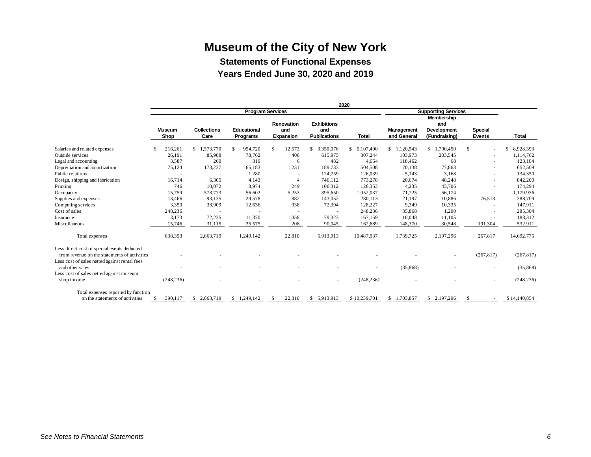# **Museum of the City of New York Statements of Functional Expenses Years Ended June 30, 2020 and 2019**

<span id="page-7-0"></span>

|                                                                                                                                              |               |                       |                            |         |     |                                |    |                                       |                                                  | 2020         |                            |                                                          |                                 |        |              |
|----------------------------------------------------------------------------------------------------------------------------------------------|---------------|-----------------------|----------------------------|---------|-----|--------------------------------|----|---------------------------------------|--------------------------------------------------|--------------|----------------------------|----------------------------------------------------------|---------------------------------|--------|--------------|
|                                                                                                                                              |               |                       |                            |         |     | <b>Program Services</b>        |    |                                       |                                                  |              | <b>Supporting Services</b> |                                                          |                                 |        |              |
|                                                                                                                                              |               | <b>Museum</b><br>Shop | <b>Collections</b><br>Care |         |     | <b>Educational</b><br>Programs |    | Renovation<br>and<br><b>Expansion</b> | <b>Exhibitions</b><br>and<br><b>Publications</b> | <b>Total</b> | Management<br>and General  | <b>Membership</b><br>and<br>Development<br>(Fundraising) | <b>Special</b><br><b>Events</b> |        | <b>Total</b> |
|                                                                                                                                              |               |                       |                            |         |     |                                |    |                                       |                                                  |              |                            |                                                          |                                 |        |              |
| Salaries and related expenses                                                                                                                | \$            | 216,261               | \$1,573,770                |         | \$. | 954,720                        | -S | 12,573                                | \$ 3,350,076                                     | \$ 6,107,400 | \$1,120,543                | \$1,700,450                                              | \$                              |        | \$ 8,928,393 |
| Outside services                                                                                                                             |               | 26,191                |                            | 85,908  |     | 78,762                         |    | 408                                   | 615.975                                          | 807,244      | 103.973                    | 203,545                                                  |                                 |        | 1,114,762    |
| Legal and accounting                                                                                                                         |               | 3,587                 |                            | 260     |     | 319                            |    | 6                                     | 482                                              | 4,654        | 118,462                    | 68                                                       |                                 |        | 123,184      |
| Depreciation and amortization                                                                                                                |               | 75,124                |                            | 173,237 |     | 65,183                         |    | 1,231                                 | 189,733                                          | 504,508      | 70,138                     | 77,863                                                   |                                 |        | 652,509      |
| Public relations                                                                                                                             |               |                       |                            |         |     | 1,280                          |    |                                       | 124,759                                          | 126,039      | 5,143                      | 3,168                                                    |                                 |        | 134,350      |
| Design, shipping and fabrication                                                                                                             |               | 16,714                |                            | 6,305   |     | 4,143                          |    | $\overline{4}$                        | 746,112                                          | 773,278      | 20,674                     | 48,248                                                   |                                 |        | 842,200      |
| Printing                                                                                                                                     |               | 746                   |                            | 10,072  |     | 8,974                          |    | 249                                   | 106,312                                          | 126,353      | 4,235                      | 43,706                                                   |                                 |        | 174,294      |
| Occupancy                                                                                                                                    |               | 15,759                |                            | 578,773 |     | 56,602                         |    | 5,253                                 | 395,650                                          | 1,052,037    | 71,725                     | 56,174                                                   |                                 |        | 1,179,936    |
| Supplies and expenses                                                                                                                        |               | 13,466                |                            | 93,135  |     | 29,578                         |    | 882                                   | 143,052                                          | 280,113      | 21,197                     | 10,886                                                   |                                 | 76,513 | 388,709      |
| Computing services                                                                                                                           |               | 3,350                 |                            | 38,909  |     | 12,636                         |    | 938                                   | 72,394                                           | 128,227      | 9,349                      | 10,335                                                   |                                 |        | 147,911      |
| Cost of sales                                                                                                                                |               | 248,236               |                            |         |     |                                |    |                                       |                                                  | 248,236      | 35,868                     | 1,200                                                    |                                 |        | 285,304      |
| Insurance                                                                                                                                    |               | 3,173                 |                            | 72,235  |     | 11,370                         |    | 1,058                                 | 79,323                                           | 167,159      | 10,048                     | 11,105                                                   |                                 |        | 188,312      |
| Miscellaneous                                                                                                                                |               | 15,746                |                            | 31,115  |     | 25,575                         |    | 208                                   | 90,045                                           | 162,689      | 148,370                    | 30,548                                                   | 191,304                         |        | 532,911      |
| Total expenses                                                                                                                               |               | 638,353               | 2,663,719                  |         |     | 1,249,142                      |    | 22,810                                | 5,913,913                                        | 10,487,937   | 1,739,725                  | 2,197,296                                                | 267,817                         |        | 14,692,775   |
| Less direct cost of special events deducted<br>from revenue on the statements of activities<br>Less cost of sales netted against rental fees |               |                       |                            |         |     |                                |    |                                       |                                                  |              |                            |                                                          | (267, 817)                      |        | (267, 817)   |
| and other sales                                                                                                                              |               |                       |                            |         |     |                                |    |                                       |                                                  |              | (35,868)                   |                                                          |                                 |        | (35,868)     |
| Less cost of sales netted against museum<br>shop income                                                                                      |               | (248, 236)            |                            |         |     |                                |    |                                       |                                                  | (248, 236)   |                            |                                                          |                                 |        | (248, 236)   |
| Total expenses reported by function<br>on the statements of activities                                                                       | <sup>\$</sup> | 390,117               | \$ 2,663,719               |         |     | \$1,249,142                    | -S | 22,810                                | \$ 5,913,913                                     | \$10,239,701 | \$1,703,857                | \$2,197,296                                              | -S                              |        | \$14,140,854 |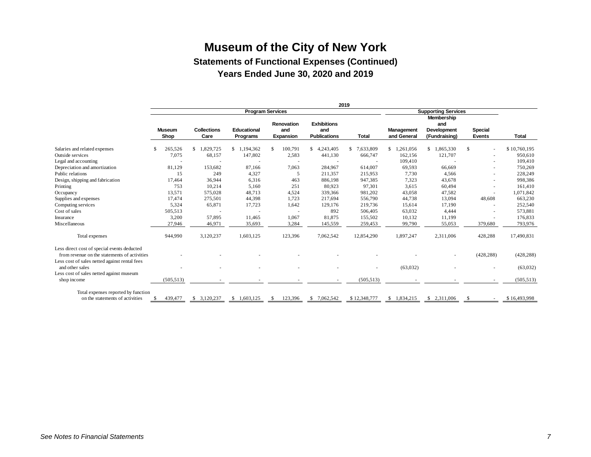# **Museum of the City of New York Statements of Functional Expenses (Continued) Years Ended June 30, 2020 and 2019**

|                                                                                                                                              | 2019                     |            |                            |                                |                                |         |                                                  |                 |                           |                                                   |                                 |              |  |
|----------------------------------------------------------------------------------------------------------------------------------------------|--------------------------|------------|----------------------------|--------------------------------|--------------------------------|---------|--------------------------------------------------|-----------------|---------------------------|---------------------------------------------------|---------------------------------|--------------|--|
|                                                                                                                                              | <b>Program Services</b>  |            |                            |                                |                                |         |                                                  |                 |                           | <b>Supporting Services</b>                        |                                 |              |  |
|                                                                                                                                              | <b>Museum</b><br>Shop    |            | <b>Collections</b><br>Care | <b>Educational</b><br>Programs | Renovation<br>and<br>Expansion |         | <b>Exhibitions</b><br>and<br><b>Publications</b> | <b>Total</b>    | Management<br>and General | Membership<br>and<br>Development<br>(Fundraising) | <b>Special</b><br><b>Events</b> | <b>Total</b> |  |
| Salaries and related expenses                                                                                                                | S.                       | 265,526    | \$1.829,725                | \$1,194,362                    | \$.                            | 100,791 | \$4,243,405                                      | 7,633,809<br>S. | \$1.261,056               | \$1.865,330                                       | \$                              | \$10,760,195 |  |
| Outside services                                                                                                                             |                          | 7,075      | 68,157                     | 147,802                        |                                | 2,583   | 441,130                                          | 666,747         | 162,156                   | 121,707                                           |                                 | 950,610      |  |
| Legal and accounting                                                                                                                         |                          |            |                            |                                |                                |         |                                                  |                 | 109.410                   |                                                   |                                 | 109,410      |  |
| Depreciation and amortization                                                                                                                |                          | 81,129     | 153,682                    | 87,166                         |                                | 7,063   | 284,967                                          | 614,007         | 69,593                    | 66,669                                            |                                 | 750,269      |  |
| Public relations                                                                                                                             |                          | 15         | 249                        | 4,327                          |                                | 5       | 211,357                                          | 215,953         | 7,730                     | 4,566                                             |                                 | 228,249      |  |
| Design, shipping and fabrication                                                                                                             |                          | 17,464     | 36,944                     | 6,316                          |                                | 463     | 886,198                                          | 947,385         | 7,323                     | 43,678                                            |                                 | 998,386      |  |
| Printing                                                                                                                                     |                          | 753        | 10,214                     | 5,160                          |                                | 251     | 80,923                                           | 97,301          | 3,615                     | 60,494                                            |                                 | 161,410      |  |
| Occupancy                                                                                                                                    |                          | 13,571     | 575,028                    | 48,713                         |                                | 4,524   | 339,366                                          | 981,202         | 43,058                    | 47,582                                            |                                 | 1,071,842    |  |
| Supplies and expenses                                                                                                                        |                          | 17,474     | 275,501                    | 44,398                         |                                | 1,723   | 217,694                                          | 556,790         | 44,738                    | 13,094                                            | 48,608                          | 663,230      |  |
| Computing services                                                                                                                           |                          | 5,324      | 65,871                     | 17,723                         |                                | 1,642   | 129,176                                          | 219,736         | 15,614                    | 17,190                                            |                                 | 252,540      |  |
| Cost of sales                                                                                                                                |                          | 505,513    |                            |                                |                                | ٠.      | 892                                              | 506,405         | 63,032                    | 4,444                                             |                                 | 573,881      |  |
| Insurance                                                                                                                                    |                          | 3,200      | 57,895                     | 11,465                         |                                | 1,067   | 81,875                                           | 155,502         | 10,132                    | 11,199                                            |                                 | 176,833      |  |
| Miscellaneous                                                                                                                                |                          | 27,946     | 46,971                     | 35,693                         |                                | 3,284   | 145,559                                          | 259,453         | 99,790                    | 55,053                                            | 379,680                         | 793,976      |  |
| Total expenses                                                                                                                               | 944,990                  |            | 3,120,237                  | 1,603,125                      |                                | 123,396 | 7,062,542                                        | 12,854,290      | 1,897,247                 | 2,311,006                                         | 428,288                         | 17,490,831   |  |
| Less direct cost of special events deducted<br>from revenue on the statements of activities<br>Less cost of sales netted against rental fees |                          |            |                            |                                |                                |         |                                                  |                 |                           |                                                   | (428, 288)                      | (428, 288)   |  |
| and other sales                                                                                                                              |                          |            |                            |                                |                                |         |                                                  |                 | (63,032)                  |                                                   |                                 | (63,032)     |  |
| Less cost of sales netted against museum<br>shop income                                                                                      |                          | (505, 513) |                            |                                |                                |         |                                                  | (505, 513)      |                           |                                                   |                                 | (505, 513)   |  |
| Total expenses reported by function<br>on the statements of activities                                                                       | 439,477<br><sup>\$</sup> |            | \$3,120,237                | \$1,603,125                    | -S                             | 123,396 | \$ 7,062,542                                     | \$12,348,777    | \$1,834,215               | \$2,311,006                                       | -S                              | \$16,493,998 |  |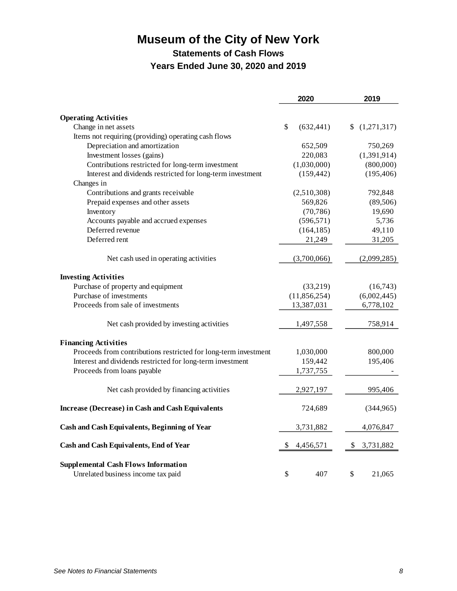# **Museum of the City of New York Statements of Cash Flows Years Ended June 30, 2020 and 2019**

<span id="page-9-0"></span>

|                                                                 | 2020             | 2019            |
|-----------------------------------------------------------------|------------------|-----------------|
|                                                                 |                  |                 |
| <b>Operating Activities</b><br>Change in net assets             | \$<br>(632, 441) | (1,271,317)     |
|                                                                 |                  | \$              |
| Items not requiring (providing) operating cash flows            |                  |                 |
| Depreciation and amortization                                   | 652,509          | 750,269         |
| Investment losses (gains)                                       | 220,083          | (1,391,914)     |
| Contributions restricted for long-term investment               | (1,030,000)      | (800,000)       |
| Interest and dividends restricted for long-term investment      | (159, 442)       | (195, 406)      |
| Changes in                                                      |                  |                 |
| Contributions and grants receivable                             | (2,510,308)      | 792,848         |
| Prepaid expenses and other assets                               | 569,826          | (89, 506)       |
| Inventory                                                       | (70, 786)        | 19,690          |
| Accounts payable and accrued expenses                           | (596, 571)       | 5,736           |
| Deferred revenue                                                | (164, 185)       | 49,110          |
| Deferred rent                                                   | 21,249           | 31,205          |
| Net cash used in operating activities                           | (3,700,066)      | (2,099,285)     |
| <b>Investing Activities</b>                                     |                  |                 |
| Purchase of property and equipment                              | (33,219)         | (16,743)        |
| Purchase of investments                                         | (11,856,254)     | (6,002,445)     |
| Proceeds from sale of investments                               | 13,387,031       | 6,778,102       |
| Net cash provided by investing activities                       | 1,497,558        | 758,914         |
| <b>Financing Activities</b>                                     |                  |                 |
| Proceeds from contributions restricted for long-term investment | 1,030,000        | 800,000         |
| Interest and dividends restricted for long-term investment      | 159,442          | 195,406         |
| Proceeds from loans payable                                     | 1,737,755        |                 |
| Net cash provided by financing activities                       | 2,927,197        | 995,406         |
| Increase (Decrease) in Cash and Cash Equivalents                | 724,689          | (344, 965)      |
| Cash and Cash Equivalents, Beginning of Year                    | 3,731,882        | 4,076,847       |
| Cash and Cash Equivalents, End of Year                          | \$<br>4,456,571  | 3,731,882<br>\$ |
| <b>Supplemental Cash Flows Information</b>                      |                  |                 |
| Unrelated business income tax paid                              | \$<br>407        | \$<br>21,065    |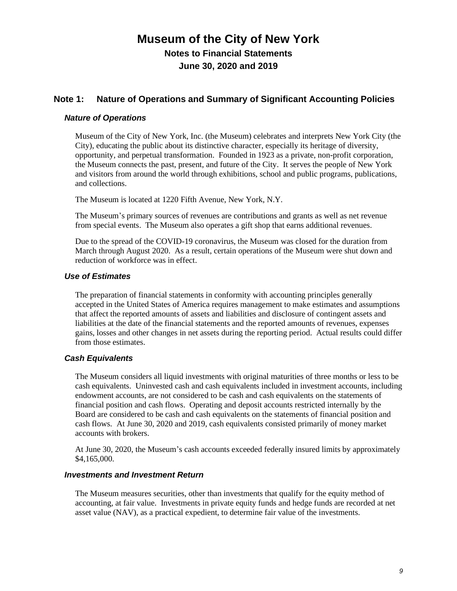# <span id="page-10-0"></span>**Note 1: Nature of Operations and Summary of Significant Accounting Policies**

#### *Nature of Operations*

Museum of the City of New York, Inc. (the Museum) celebrates and interprets New York City (the City), educating the public about its distinctive character, especially its heritage of diversity, opportunity, and perpetual transformation. Founded in 1923 as a private, non-profit corporation, the Museum connects the past, present, and future of the City. It serves the people of New York and visitors from around the world through exhibitions, school and public programs, publications, and collections.

The Museum is located at 1220 Fifth Avenue, New York, N.Y.

The Museum's primary sources of revenues are contributions and grants as well as net revenue from special events. The Museum also operates a gift shop that earns additional revenues.

Due to the spread of the COVID-19 coronavirus, the Museum was closed for the duration from March through August 2020. As a result, certain operations of the Museum were shut down and reduction of workforce was in effect.

#### *Use of Estimates*

The preparation of financial statements in conformity with accounting principles generally accepted in the United States of America requires management to make estimates and assumptions that affect the reported amounts of assets and liabilities and disclosure of contingent assets and liabilities at the date of the financial statements and the reported amounts of revenues, expenses gains, losses and other changes in net assets during the reporting period. Actual results could differ from those estimates.

### *Cash Equivalents*

The Museum considers all liquid investments with original maturities of three months or less to be cash equivalents. Uninvested cash and cash equivalents included in investment accounts, including endowment accounts, are not considered to be cash and cash equivalents on the statements of financial position and cash flows. Operating and deposit accounts restricted internally by the Board are considered to be cash and cash equivalents on the statements of financial position and cash flows. At June 30, 2020 and 2019, cash equivalents consisted primarily of money market accounts with brokers.

At June 30, 2020, the Museum's cash accounts exceeded federally insured limits by approximately \$4,165,000.

#### *Investments and Investment Return*

The Museum measures securities, other than investments that qualify for the equity method of accounting, at fair value. Investments in private equity funds and hedge funds are recorded at net asset value (NAV), as a practical expedient, to determine fair value of the investments.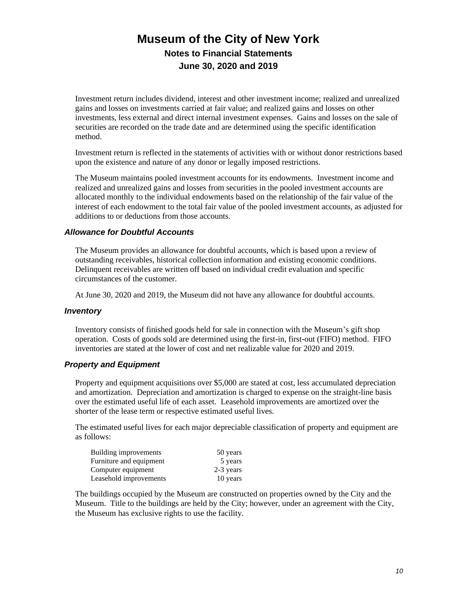Investment return includes dividend, interest and other investment income; realized and unrealized gains and losses on investments carried at fair value; and realized gains and losses on other investments, less external and direct internal investment expenses. Gains and losses on the sale of securities are recorded on the trade date and are determined using the specific identification method.

Investment return is reflected in the statements of activities with or without donor restrictions based upon the existence and nature of any donor or legally imposed restrictions.

The Museum maintains pooled investment accounts for its endowments. Investment income and realized and unrealized gains and losses from securities in the pooled investment accounts are allocated monthly to the individual endowments based on the relationship of the fair value of the interest of each endowment to the total fair value of the pooled investment accounts, as adjusted for additions to or deductions from those accounts.

### *Allowance for Doubtful Accounts*

The Museum provides an allowance for doubtful accounts, which is based upon a review of outstanding receivables, historical collection information and existing economic conditions. Delinquent receivables are written off based on individual credit evaluation and specific circumstances of the customer.

At June 30, 2020 and 2019, the Museum did not have any allowance for doubtful accounts.

#### *Inventory*

Inventory consists of finished goods held for sale in connection with the Museum's gift shop operation. Costs of goods sold are determined using the first-in, first-out (FIFO) method. FIFO inventories are stated at the lower of cost and net realizable value for 2020 and 2019.

#### *Property and Equipment*

Property and equipment acquisitions over \$5,000 are stated at cost, less accumulated depreciation and amortization. Depreciation and amortization is charged to expense on the straight-line basis over the estimated useful life of each asset. Leasehold improvements are amortized over the shorter of the lease term or respective estimated useful lives.

The estimated useful lives for each major depreciable classification of property and equipment are as follows:

| Building improvements   | 50 years  |
|-------------------------|-----------|
| Furniture and equipment | 5 years   |
| Computer equipment      | 2-3 years |
| Leasehold improvements  | 10 years  |

The buildings occupied by the Museum are constructed on properties owned by the City and the Museum. Title to the buildings are held by the City; however, under an agreement with the City, the Museum has exclusive rights to use the facility.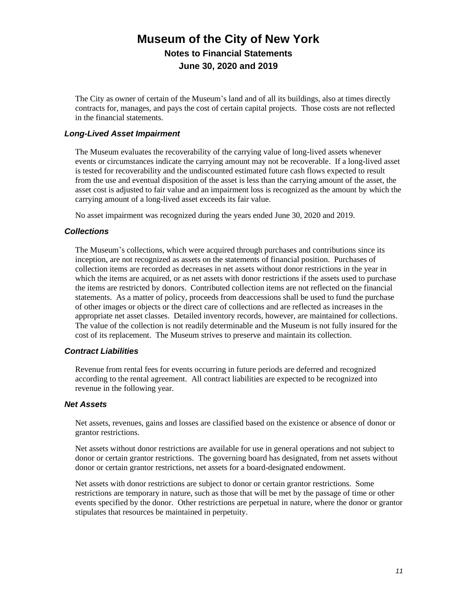The City as owner of certain of the Museum's land and of all its buildings, also at times directly contracts for, manages, and pays the cost of certain capital projects. Those costs are not reflected in the financial statements.

### *Long-Lived Asset Impairment*

The Museum evaluates the recoverability of the carrying value of long-lived assets whenever events or circumstances indicate the carrying amount may not be recoverable. If a long-lived asset is tested for recoverability and the undiscounted estimated future cash flows expected to result from the use and eventual disposition of the asset is less than the carrying amount of the asset, the asset cost is adjusted to fair value and an impairment loss is recognized as the amount by which the carrying amount of a long-lived asset exceeds its fair value.

No asset impairment was recognized during the years ended June 30, 2020 and 2019.

### *Collections*

The Museum's collections, which were acquired through purchases and contributions since its inception, are not recognized as assets on the statements of financial position. Purchases of collection items are recorded as decreases in net assets without donor restrictions in the year in which the items are acquired, or as net assets with donor restrictions if the assets used to purchase the items are restricted by donors. Contributed collection items are not reflected on the financial statements. As a matter of policy, proceeds from deaccessions shall be used to fund the purchase of other images or objects or the direct care of collections and are reflected as increases in the appropriate net asset classes. Detailed inventory records, however, are maintained for collections. The value of the collection is not readily determinable and the Museum is not fully insured for the cost of its replacement. The Museum strives to preserve and maintain its collection.

### *Contract Liabilities*

Revenue from rental fees for events occurring in future periods are deferred and recognized according to the rental agreement. All contract liabilities are expected to be recognized into revenue in the following year.

#### *Net Assets*

Net assets, revenues, gains and losses are classified based on the existence or absence of donor or grantor restrictions.

Net assets without donor restrictions are available for use in general operations and not subject to donor or certain grantor restrictions. The governing board has designated, from net assets without donor or certain grantor restrictions, net assets for a board-designated endowment.

Net assets with donor restrictions are subject to donor or certain grantor restrictions. Some restrictions are temporary in nature, such as those that will be met by the passage of time or other events specified by the donor. Other restrictions are perpetual in nature, where the donor or grantor stipulates that resources be maintained in perpetuity.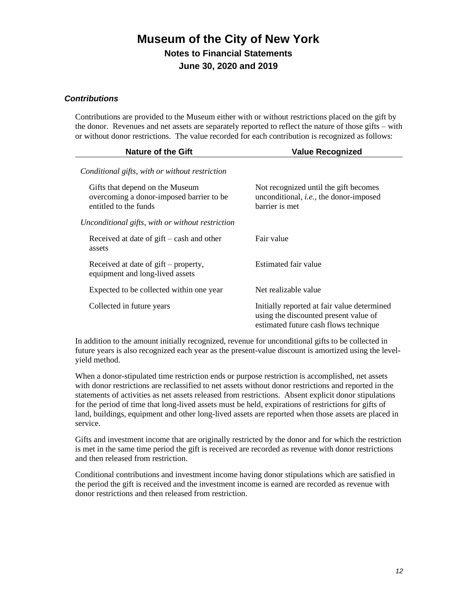### *Contributions*

Contributions are provided to the Museum either with or without restrictions placed on the gift by the donor. Revenues and net assets are separately reported to reflect the nature of those gifts – with or without donor restrictions. The value recorded for each contribution is recognized as follows:

| <b>Nature of the Gift</b>                                                                            | <b>Value Recognized</b>                                                                                                       |  |  |  |  |  |
|------------------------------------------------------------------------------------------------------|-------------------------------------------------------------------------------------------------------------------------------|--|--|--|--|--|
| Conditional gifts, with or without restriction                                                       |                                                                                                                               |  |  |  |  |  |
| Gifts that depend on the Museum<br>overcoming a donor-imposed barrier to be<br>entitled to the funds | Not recognized until the gift becomes<br>unconditional, <i>i.e.</i> , the donor-imposed<br>barrier is met                     |  |  |  |  |  |
| Unconditional gifts, with or without restriction                                                     |                                                                                                                               |  |  |  |  |  |
| Received at date of $g$ ift – cash and other<br>assets                                               | Fair value                                                                                                                    |  |  |  |  |  |
| Received at date of $g$ ift – property,<br>equipment and long-lived assets                           | Estimated fair value                                                                                                          |  |  |  |  |  |
| Expected to be collected within one year                                                             | Net realizable value                                                                                                          |  |  |  |  |  |
| Collected in future years                                                                            | Initially reported at fair value determined<br>using the discounted present value of<br>estimated future cash flows technique |  |  |  |  |  |

In addition to the amount initially recognized, revenue for unconditional gifts to be collected in future years is also recognized each year as the present-value discount is amortized using the levelyield method.

When a donor-stipulated time restriction ends or purpose restriction is accomplished, net assets with donor restrictions are reclassified to net assets without donor restrictions and reported in the statements of activities as net assets released from restrictions. Absent explicit donor stipulations for the period of time that long-lived assets must be held, expirations of restrictions for gifts of land, buildings, equipment and other long-lived assets are reported when those assets are placed in service.

Gifts and investment income that are originally restricted by the donor and for which the restriction is met in the same time period the gift is received are recorded as revenue with donor restrictions and then released from restriction.

Conditional contributions and investment income having donor stipulations which are satisfied in the period the gift is received and the investment income is earned are recorded as revenue with donor restrictions and then released from restriction.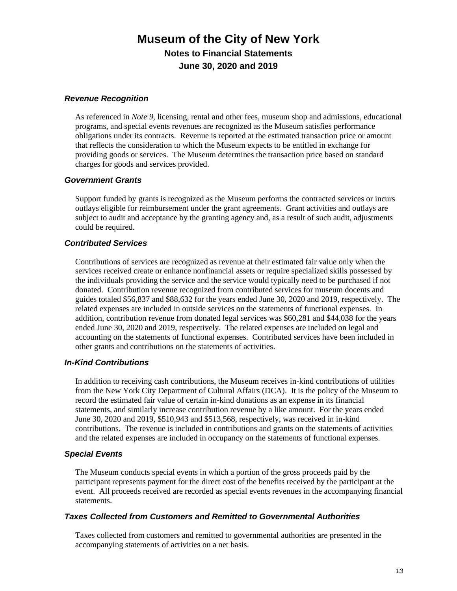### *Revenue Recognition*

As referenced in *Note 9*, licensing, rental and other fees, museum shop and admissions, educational programs, and special events revenues are recognized as the Museum satisfies performance obligations under its contracts. Revenue is reported at the estimated transaction price or amount that reflects the consideration to which the Museum expects to be entitled in exchange for providing goods or services. The Museum determines the transaction price based on standard charges for goods and services provided.

### *Government Grants*

Support funded by grants is recognized as the Museum performs the contracted services or incurs outlays eligible for reimbursement under the grant agreements. Grant activities and outlays are subject to audit and acceptance by the granting agency and, as a result of such audit, adjustments could be required.

### *Contributed Services*

Contributions of services are recognized as revenue at their estimated fair value only when the services received create or enhance nonfinancial assets or require specialized skills possessed by the individuals providing the service and the service would typically need to be purchased if not donated. Contribution revenue recognized from contributed services for museum docents and guides totaled \$56,837 and \$88,632 for the years ended June 30, 2020 and 2019, respectively. The related expenses are included in outside services on the statements of functional expenses. In addition, contribution revenue from donated legal services was \$60,281 and \$44,038 for the years ended June 30, 2020 and 2019, respectively. The related expenses are included on legal and accounting on the statements of functional expenses. Contributed services have been included in other grants and contributions on the statements of activities.

### *In-Kind Contributions*

In addition to receiving cash contributions, the Museum receives in-kind contributions of utilities from the New York City Department of Cultural Affairs (DCA). It is the policy of the Museum to record the estimated fair value of certain in-kind donations as an expense in its financial statements, and similarly increase contribution revenue by a like amount. For the years ended June 30, 2020 and 2019, \$510,943 and \$513,568, respectively, was received in in-kind contributions. The revenue is included in contributions and grants on the statements of activities and the related expenses are included in occupancy on the statements of functional expenses.

# *Special Events*

The Museum conducts special events in which a portion of the gross proceeds paid by the participant represents payment for the direct cost of the benefits received by the participant at the event. All proceeds received are recorded as special events revenues in the accompanying financial statements.

### *Taxes Collected from Customers and Remitted to Governmental Authorities*

Taxes collected from customers and remitted to governmental authorities are presented in the accompanying statements of activities on a net basis.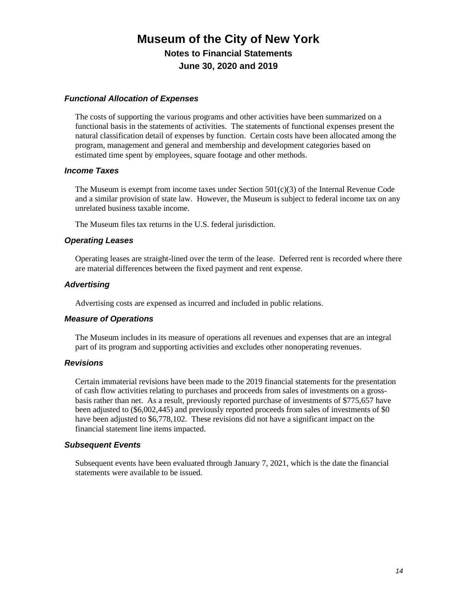#### *Functional Allocation of Expenses*

The costs of supporting the various programs and other activities have been summarized on a functional basis in the statements of activities. The statements of functional expenses present the natural classification detail of expenses by function. Certain costs have been allocated among the program, management and general and membership and development categories based on estimated time spent by employees, square footage and other methods.

#### *Income Taxes*

The Museum is exempt from income taxes under Section 501(c)(3) of the Internal Revenue Code and a similar provision of state law. However, the Museum is subject to federal income tax on any unrelated business taxable income.

The Museum files tax returns in the U.S. federal jurisdiction.

### *Operating Leases*

Operating leases are straight-lined over the term of the lease. Deferred rent is recorded where there are material differences between the fixed payment and rent expense.

#### *Advertising*

Advertising costs are expensed as incurred and included in public relations.

#### *Measure of Operations*

The Museum includes in its measure of operations all revenues and expenses that are an integral part of its program and supporting activities and excludes other nonoperating revenues.

#### *Revisions*

Certain immaterial revisions have been made to the 2019 financial statements for the presentation of cash flow activities relating to purchases and proceeds from sales of investments on a grossbasis rather than net. As a result, previously reported purchase of investments of \$775,657 have been adjusted to (\$6,002,445) and previously reported proceeds from sales of investments of \$0 have been adjusted to \$6,778,102. These revisions did not have a significant impact on the financial statement line items impacted.

#### *Subsequent Events*

Subsequent events have been evaluated through January 7, 2021, which is the date the financial statements were available to be issued.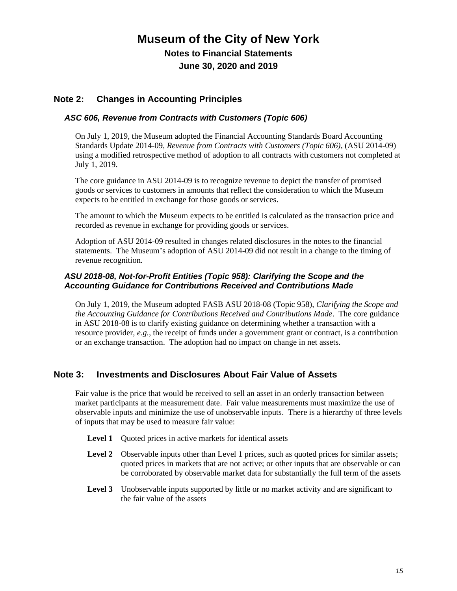# **Note 2: Changes in Accounting Principles**

### *ASC 606, Revenue from Contracts with Customers (Topic 606)*

On July 1, 2019, the Museum adopted the Financial Accounting Standards Board Accounting Standards Update 2014-09, *Revenue from Contracts with Customers (Topic 606)*, (ASU 2014-09) using a modified retrospective method of adoption to all contracts with customers not completed at July 1, 2019.

The core guidance in ASU 2014-09 is to recognize revenue to depict the transfer of promised goods or services to customers in amounts that reflect the consideration to which the Museum expects to be entitled in exchange for those goods or services.

The amount to which the Museum expects to be entitled is calculated as the transaction price and recorded as revenue in exchange for providing goods or services.

Adoption of ASU 2014-09 resulted in changes related disclosures in the notes to the financial statements. The Museum's adoption of ASU 2014-09 did not result in a change to the timing of revenue recognition.

#### *ASU 2018-08, Not-for-Profit Entities (Topic 958): Clarifying the Scope and the Accounting Guidance for Contributions Received and Contributions Made*

On July 1, 2019, the Museum adopted FASB ASU 2018-08 (Topic 958), *Clarifying the Scope and the Accounting Guidance for Contributions Received and Contributions Made*. The core guidance in ASU 2018-08 is to clarify existing guidance on determining whether a transaction with a resource provider, *e.g.*, the receipt of funds under a government grant or contract, is a contribution or an exchange transaction. The adoption had no impact on change in net assets.

### **Note 3: Investments and Disclosures About Fair Value of Assets**

Fair value is the price that would be received to sell an asset in an orderly transaction between market participants at the measurement date. Fair value measurements must maximize the use of observable inputs and minimize the use of unobservable inputs. There is a hierarchy of three levels of inputs that may be used to measure fair value:

Level 1 Quoted prices in active markets for identical assets

- Level 2 Observable inputs other than Level 1 prices, such as quoted prices for similar assets; quoted prices in markets that are not active; or other inputs that are observable or can be corroborated by observable market data for substantially the full term of the assets
- **Level 3** Unobservable inputs supported by little or no market activity and are significant to the fair value of the assets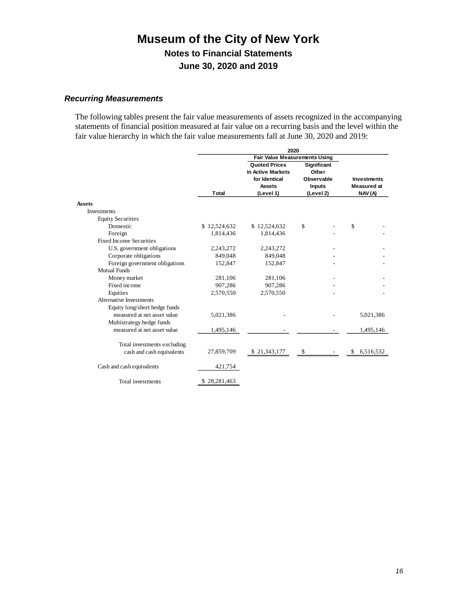### *Recurring Measurements*

The following tables present the fair value measurements of assets recognized in the accompanying statements of financial position measured at fair value on a recurring basis and the level within the fair value hierarchy in which the fair value measurements fall at June 30, 2020 and 2019:

|                                | 2020<br><b>Fair Value Measurements Using</b> |                      |               |                    |  |  |  |  |  |
|--------------------------------|----------------------------------------------|----------------------|---------------|--------------------|--|--|--|--|--|
|                                |                                              |                      |               |                    |  |  |  |  |  |
|                                |                                              | <b>Quoted Prices</b> | Significant   |                    |  |  |  |  |  |
|                                |                                              | in Active Markets    | Other         |                    |  |  |  |  |  |
|                                |                                              | for Identical        | Observable    | <b>Investments</b> |  |  |  |  |  |
|                                |                                              | <b>Assets</b>        | <b>Inputs</b> | Measured at        |  |  |  |  |  |
|                                | <b>Total</b>                                 | (Level 1)            | (Level 2)     | NAV(A)             |  |  |  |  |  |
| Assets                         |                                              |                      |               |                    |  |  |  |  |  |
| <b>Investments</b>             |                                              |                      |               |                    |  |  |  |  |  |
| <b>Equity Securities</b>       |                                              |                      |               |                    |  |  |  |  |  |
| Domestic                       | \$12,524,632                                 | \$12,524,632         | \$            | \$                 |  |  |  |  |  |
| Foreign                        | 1,814,436                                    | 1,814,436            |               |                    |  |  |  |  |  |
| <b>Fixed Income Securities</b> |                                              |                      |               |                    |  |  |  |  |  |
| U.S. government obligations    | 2,243,272                                    | 2,243,272            |               |                    |  |  |  |  |  |
| Corporate obligations          | 849,048                                      | 849,048              |               |                    |  |  |  |  |  |
| Foreign government obligations | 152,847                                      | 152,847              |               |                    |  |  |  |  |  |
| <b>Mutual Funds</b>            |                                              |                      |               |                    |  |  |  |  |  |
| Money market                   | 281,106                                      | 281,106              |               |                    |  |  |  |  |  |
| Fixed income                   | 907,286                                      | 907,286              |               |                    |  |  |  |  |  |
| Equities                       | 2,570,550                                    | 2,570,550            |               |                    |  |  |  |  |  |
| <b>Alternative Investments</b> |                                              |                      |               |                    |  |  |  |  |  |
| Equity long/short hedge funds  |                                              |                      |               |                    |  |  |  |  |  |
| measured at net asset value    | 5,021,386                                    |                      |               | 5,021,386          |  |  |  |  |  |
| Multistrategy hedge funds      |                                              |                      |               |                    |  |  |  |  |  |
| measured at net asset value    | 1,495,146                                    |                      |               | 1,495,146          |  |  |  |  |  |
| Total investments excluding    |                                              |                      |               |                    |  |  |  |  |  |
| cash and cash equivalents      | 27,859,709                                   | \$21,343,177         | \$            | 6,516,532<br>S     |  |  |  |  |  |
| Cash and cash equivalents      | 421,754                                      |                      |               |                    |  |  |  |  |  |
| Total investments              | \$28,281,463                                 |                      |               |                    |  |  |  |  |  |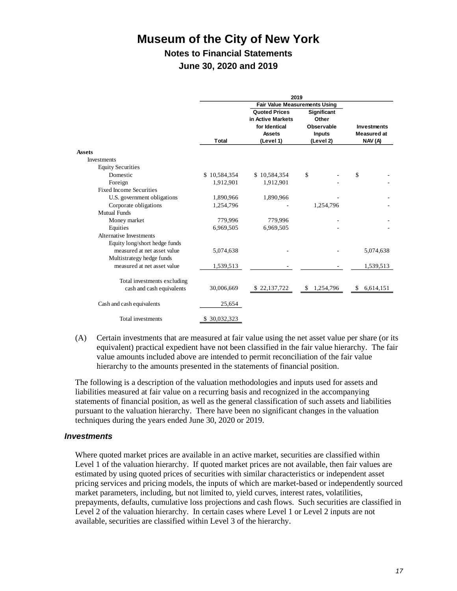|                                |              | 2019                               |                             |                    |
|--------------------------------|--------------|------------------------------------|-----------------------------|--------------------|
|                                |              |                                    |                             |                    |
|                                |              | Quoted Prices<br>in Active Markets | <b>Significant</b><br>Other |                    |
|                                |              | for Identical                      | Observable                  | <b>Investments</b> |
|                                |              | <b>Assets</b>                      | <b>Inputs</b>               | <b>Measured at</b> |
|                                | <b>Total</b> | (Level 1)                          | (Level 2)                   | NAV (A)            |
| <b>Assets</b>                  |              |                                    |                             |                    |
| Investments                    |              |                                    |                             |                    |
| <b>Equity Securities</b>       |              |                                    |                             |                    |
| Domestic                       | \$10,584,354 | \$10,584,354                       | \$                          | \$                 |
| Foreign                        | 1,912,901    | 1,912,901                          |                             |                    |
| <b>Fixed Income Securities</b> |              |                                    |                             |                    |
| U.S. government obligations    | 1,890,966    | 1,890,966                          |                             |                    |
| Corporate obligations          | 1,254,796    |                                    | 1,254,796                   |                    |
| <b>Mutual Funds</b>            |              |                                    |                             |                    |
| Money market                   | 779,996      | 779,996                            |                             |                    |
| Equities                       | 6,969,505    | 6,969,505                          |                             |                    |
| <b>Alternative Investments</b> |              |                                    |                             |                    |
| Equity long/short hedge funds  |              |                                    |                             |                    |
| measured at net asset value    | 5,074,638    |                                    |                             | 5,074,638          |
| Multistrategy hedge funds      |              |                                    |                             |                    |
| measured at net asset value    | 1,539,513    |                                    |                             | 1,539,513          |
|                                |              |                                    |                             |                    |
| Total investments excluding    |              |                                    |                             |                    |
| cash and cash equivalents      | 30,006,669   | \$22,137,722                       | 1,254,796<br>\$             | 6,614,151<br>\$    |
| Cash and cash equivalents      | 25,654       |                                    |                             |                    |
| Total investments              | \$30,032,323 |                                    |                             |                    |

(A) Certain investments that are measured at fair value using the net asset value per share (or its equivalent) practical expedient have not been classified in the fair value hierarchy. The fair value amounts included above are intended to permit reconciliation of the fair value hierarchy to the amounts presented in the statements of financial position.

The following is a description of the valuation methodologies and inputs used for assets and liabilities measured at fair value on a recurring basis and recognized in the accompanying statements of financial position, as well as the general classification of such assets and liabilities pursuant to the valuation hierarchy. There have been no significant changes in the valuation techniques during the years ended June 30, 2020 or 2019.

#### *Investments*

Where quoted market prices are available in an active market, securities are classified within Level 1 of the valuation hierarchy. If quoted market prices are not available, then fair values are estimated by using quoted prices of securities with similar characteristics or independent asset pricing services and pricing models, the inputs of which are market-based or independently sourced market parameters, including, but not limited to, yield curves, interest rates, volatilities, prepayments, defaults, cumulative loss projections and cash flows. Such securities are classified in Level 2 of the valuation hierarchy. In certain cases where Level 1 or Level 2 inputs are not available, securities are classified within Level 3 of the hierarchy.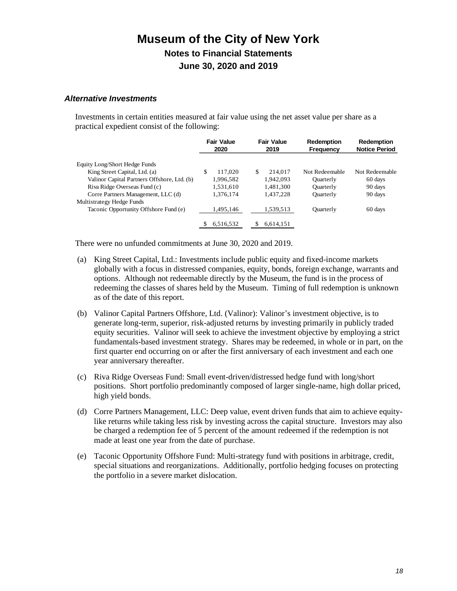#### *Alternative Investments*

Investments in certain entities measured at fair value using the net asset value per share as a practical expedient consist of the following:

|                                             |    | <b>Fair Value</b><br>2020 |     | <b>Fair Value</b><br>2019 | <b>Redemption</b><br>Frequency | Redemption<br><b>Notice Period</b> |  |
|---------------------------------------------|----|---------------------------|-----|---------------------------|--------------------------------|------------------------------------|--|
| Equity Long/Short Hedge Funds               |    |                           |     |                           |                                |                                    |  |
| King Street Capital, Ltd. (a)               | \$ | 117,020                   | \$. | 214.017                   | Not Redeemable                 | Not Redeemable                     |  |
| Valinor Capital Partners Offshore, Ltd. (b) |    | 1,996,582                 |     | 1,942,093                 | <b>Ouarterly</b>               | 60 days                            |  |
| Riva Ridge Overseas Fund (c)                |    | 1,531,610                 |     | 1,481,300                 | <b>Ouarterly</b>               | 90 days                            |  |
| Corre Partners Management, LLC (d)          |    | 1,376,174                 |     | 1.437.228                 | <b>Ouarterly</b>               | 90 days                            |  |
| Multistrategy Hedge Funds                   |    |                           |     |                           |                                |                                    |  |
| Taconic Opportunity Offshore Fund (e)       |    | 1,495,146                 |     | 1,539,513                 | Ouarterly                      | 60 days                            |  |
|                                             |    | 6,516,532                 |     | 6,614,151                 |                                |                                    |  |

There were no unfunded commitments at June 30, 2020 and 2019.

- (a) King Street Capital, Ltd.: Investments include public equity and fixed-income markets globally with a focus in distressed companies, equity, bonds, foreign exchange, warrants and options. Although not redeemable directly by the Museum, the fund is in the process of redeeming the classes of shares held by the Museum. Timing of full redemption is unknown as of the date of this report.
- (b) Valinor Capital Partners Offshore, Ltd. (Valinor): Valinor's investment objective, is to generate long-term, superior, risk-adjusted returns by investing primarily in publicly traded equity securities. Valinor will seek to achieve the investment objective by employing a strict fundamentals-based investment strategy. Shares may be redeemed, in whole or in part, on the first quarter end occurring on or after the first anniversary of each investment and each one year anniversary thereafter.
- (c) Riva Ridge Overseas Fund: Small event-driven/distressed hedge fund with long/short positions. Short portfolio predominantly composed of larger single-name, high dollar priced, high yield bonds.
- (d) Corre Partners Management, LLC: Deep value, event driven funds that aim to achieve equitylike returns while taking less risk by investing across the capital structure. Investors may also be charged a redemption fee of 5 percent of the amount redeemed if the redemption is not made at least one year from the date of purchase.
- (e) Taconic Opportunity Offshore Fund: Multi-strategy fund with positions in arbitrage, credit, special situations and reorganizations. Additionally, portfolio hedging focuses on protecting the portfolio in a severe market dislocation.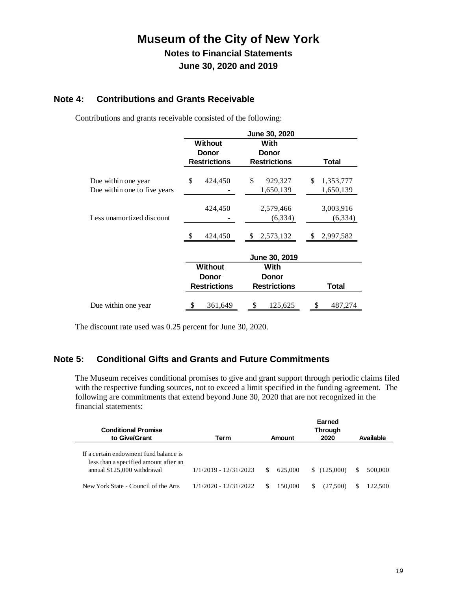### **Note 4: Contributions and Grants Receivable**

|                              |     |                                |    | June 30, 2020        |                 |
|------------------------------|-----|--------------------------------|----|----------------------|-----------------|
|                              |     | Without                        |    | With                 |                 |
|                              |     | <b>Donor</b>                   |    | Donor                |                 |
|                              |     | <b>Restrictions</b>            |    | <b>Restrictions</b>  | Total           |
| Due within one year          | \$  | 424,450                        | \$ | 929,327              | \$<br>1,353,777 |
| Due within one to five years |     |                                |    | 1,650,139            | 1,650,139       |
|                              |     | 424,450                        |    | 2,579,466            | 3,003,916       |
| Less unamortized discount    |     |                                |    | (6, 334)             | (6, 334)        |
|                              | \$. | 424,450                        | S  | 2,573,132            | 2,997,582       |
|                              |     |                                |    | June 30, 2019        |                 |
|                              |     | <b>Without</b><br><b>Donor</b> |    | With<br><b>Donor</b> |                 |
|                              |     | <b>Restrictions</b>            |    | <b>Restrictions</b>  | Total           |
| Due within one year          | \$  | 361,649                        | \$ | 125,625              | \$<br>487,274   |

Contributions and grants receivable consisted of the following:

The discount rate used was 0.25 percent for June 30, 2020.

### **Note 5: Conditional Gifts and Grants and Future Commitments**

The Museum receives conditional promises to give and grant support through periodic claims filed with the respective funding sources, not to exceed a limit specified in the funding agreement. The following are commitments that extend beyond June 30, 2020 that are not recognized in the financial statements:

| <b>Conditional Promise</b><br>to Give/Grant                                                                    | Term                  | Amount        | Earned<br><b>Through</b><br>2020 | Available     |
|----------------------------------------------------------------------------------------------------------------|-----------------------|---------------|----------------------------------|---------------|
| If a certain endowment fund balance is<br>less than a specified amount after an<br>annual \$125,000 withdrawal | 1/1/2019 - 12/31/2023 | 625,000<br>S. | \$(125,000)                      | 500,000<br>\$ |
| New York State - Council of the Arts                                                                           | 1/1/2020 - 12/31/2022 | 150,000       | (27.500)                         | 122.500       |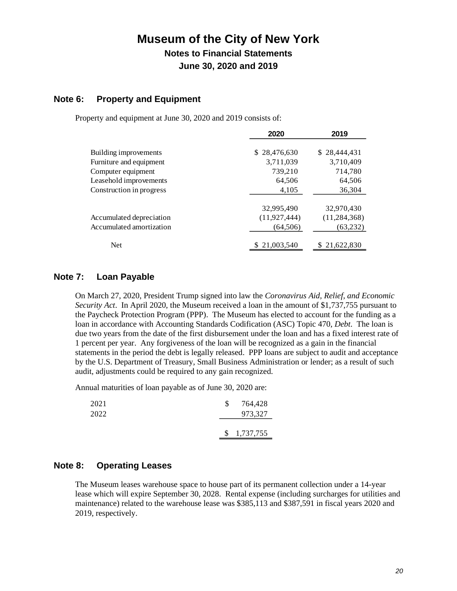#### **Note 6: Property and Equipment**

Property and equipment at June 30, 2020 and 2019 consists of:

|                          | 2020           | 2019           |
|--------------------------|----------------|----------------|
| Building improvements    | \$28,476,630   | \$28,444,431   |
| Furniture and equipment  | 3,711,039      | 3,710,409      |
| Computer equipment       | 739,210        | 714,780        |
| Leasehold improvements   | 64.506         | 64,506         |
| Construction in progress | 4,105          | 36,304         |
|                          | 32.995.490     | 32,970,430     |
| Accumulated depreciation | (11, 927, 444) | (11, 284, 368) |
| Accumulated amortization | (64, 506)      | (63, 232)      |
| <b>Net</b>               | \$21,003,540   | \$21,622,830   |

### **Note 7: Loan Payable**

On March 27, 2020, President Trump signed into law the *Coronavirus Aid, Relief, and Economic Security Act*. In April 2020, the Museum received a loan in the amount of \$1,737,755 pursuant to the Paycheck Protection Program (PPP). The Museum has elected to account for the funding as a loan in accordance with Accounting Standards Codification (ASC) Topic 470, *Debt*. The loan is due two years from the date of the first disbursement under the loan and has a fixed interest rate of 1 percent per year. Any forgiveness of the loan will be recognized as a gain in the financial statements in the period the debt is legally released. PPP loans are subject to audit and acceptance by the U.S. Department of Treasury, Small Business Administration or lender; as a result of such audit, adjustments could be required to any gain recognized.

Annual maturities of loan payable as of June 30, 2020 are:

| 2021<br>2022 | <sup>\$</sup> | 764,428<br>973,327 |
|--------------|---------------|--------------------|
|              |               | \$1,737,755        |

### **Note 8: Operating Leases**

The Museum leases warehouse space to house part of its permanent collection under a 14-year lease which will expire September 30, 2028. Rental expense (including surcharges for utilities and maintenance) related to the warehouse lease was \$385,113 and \$387,591 in fiscal years 2020 and 2019, respectively.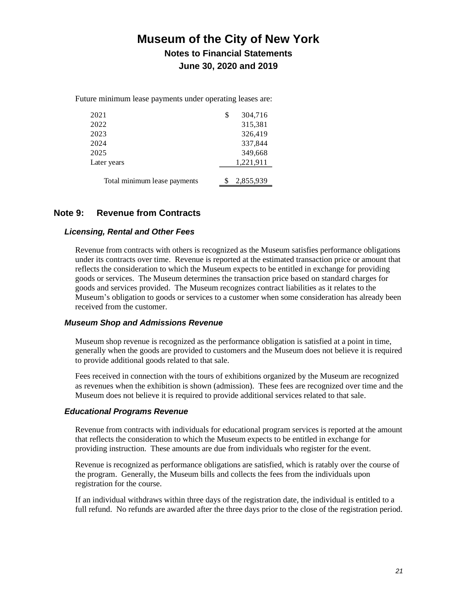Future minimum lease payments under operating leases are:

| 2021                         | \$<br>304,716 |
|------------------------------|---------------|
| 2022                         | 315,381       |
| 2023                         | 326,419       |
| 2024                         | 337,844       |
| 2025                         | 349,668       |
| Later years                  | 1,221,911     |
| Total minimum lease payments | 2,855,939     |

### **Note 9: Revenue from Contracts**

#### *Licensing, Rental and Other Fees*

Revenue from contracts with others is recognized as the Museum satisfies performance obligations under its contracts over time. Revenue is reported at the estimated transaction price or amount that reflects the consideration to which the Museum expects to be entitled in exchange for providing goods or services. The Museum determines the transaction price based on standard charges for goods and services provided. The Museum recognizes contract liabilities as it relates to the Museum's obligation to goods or services to a customer when some consideration has already been received from the customer.

#### *Museum Shop and Admissions Revenue*

Museum shop revenue is recognized as the performance obligation is satisfied at a point in time, generally when the goods are provided to customers and the Museum does not believe it is required to provide additional goods related to that sale.

Fees received in connection with the tours of exhibitions organized by the Museum are recognized as revenues when the exhibition is shown (admission). These fees are recognized over time and the Museum does not believe it is required to provide additional services related to that sale.

#### *Educational Programs Revenue*

Revenue from contracts with individuals for educational program services is reported at the amount that reflects the consideration to which the Museum expects to be entitled in exchange for providing instruction. These amounts are due from individuals who register for the event.

Revenue is recognized as performance obligations are satisfied, which is ratably over the course of the program. Generally, the Museum bills and collects the fees from the individuals upon registration for the course.

If an individual withdraws within three days of the registration date, the individual is entitled to a full refund. No refunds are awarded after the three days prior to the close of the registration period.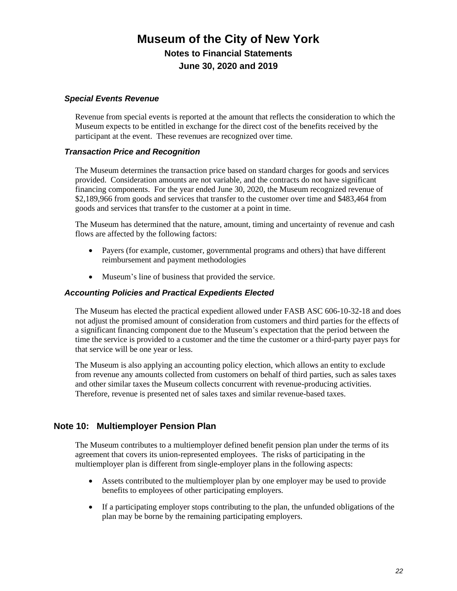#### *Special Events Revenue*

Revenue from special events is reported at the amount that reflects the consideration to which the Museum expects to be entitled in exchange for the direct cost of the benefits received by the participant at the event. These revenues are recognized over time.

#### *Transaction Price and Recognition*

The Museum determines the transaction price based on standard charges for goods and services provided. Consideration amounts are not variable, and the contracts do not have significant financing components. For the year ended June 30, 2020, the Museum recognized revenue of \$2,189,966 from goods and services that transfer to the customer over time and \$483,464 from goods and services that transfer to the customer at a point in time.

The Museum has determined that the nature, amount, timing and uncertainty of revenue and cash flows are affected by the following factors:

- Payers (for example, customer, governmental programs and others) that have different reimbursement and payment methodologies
- Museum's line of business that provided the service.

#### *Accounting Policies and Practical Expedients Elected*

The Museum has elected the practical expedient allowed under FASB ASC 606-10-32-18 and does not adjust the promised amount of consideration from customers and third parties for the effects of a significant financing component due to the Museum's expectation that the period between the time the service is provided to a customer and the time the customer or a third-party payer pays for that service will be one year or less.

The Museum is also applying an accounting policy election, which allows an entity to exclude from revenue any amounts collected from customers on behalf of third parties, such as sales taxes and other similar taxes the Museum collects concurrent with revenue-producing activities. Therefore, revenue is presented net of sales taxes and similar revenue-based taxes.

### **Note 10: Multiemployer Pension Plan**

The Museum contributes to a multiemployer defined benefit pension plan under the terms of its agreement that covers its union-represented employees. The risks of participating in the multiemployer plan is different from single-employer plans in the following aspects:

- Assets contributed to the multiemployer plan by one employer may be used to provide benefits to employees of other participating employers.
- If a participating employer stops contributing to the plan, the unfunded obligations of the plan may be borne by the remaining participating employers.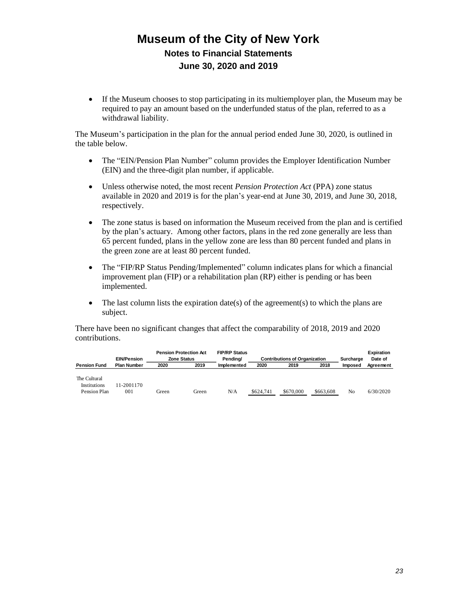• If the Museum chooses to stop participating in its multiemployer plan, the Museum may be required to pay an amount based on the underfunded status of the plan, referred to as a withdrawal liability.

The Museum's participation in the plan for the annual period ended June 30, 2020, is outlined in the table below.

- The "EIN/Pension Plan Number" column provides the Employer Identification Number (EIN) and the three-digit plan number, if applicable.
- Unless otherwise noted, the most recent *Pension Protection Act* (PPA) zone status available in 2020 and 2019 is for the plan's year-end at June 30, 2019, and June 30, 2018, respectively.
- The zone status is based on information the Museum received from the plan and is certified by the plan's actuary. Among other factors, plans in the red zone generally are less than 65 percent funded, plans in the yellow zone are less than 80 percent funded and plans in the green zone are at least 80 percent funded.
- The "FIP/RP Status Pending/Implemented" column indicates plans for which a financial improvement plan (FIP) or a rehabilitation plan (RP) either is pending or has been implemented.
- The last column lists the expiration date(s) of the agreement(s) to which the plans are subject.

There have been no significant changes that affect the comparability of 2018, 2019 and 2020 contributions.

|                     | <b>EIN/Pension</b> | <b>Zone Status</b> | <b>Pension Protection Act</b> | <b>FIP/RP Status</b><br>Pendina/ |           | <b>Contributions of Organization</b> |           | Surcharge | <b>Expiration</b><br>Date of |
|---------------------|--------------------|--------------------|-------------------------------|----------------------------------|-----------|--------------------------------------|-----------|-----------|------------------------------|
| <b>Pension Fund</b> | <b>Plan Number</b> | 2020               | 2019                          | Implemented                      | 2020      | 2019                                 | 2018      | Imposed   | Agreement                    |
| The Cultural        |                    |                    |                               |                                  |           |                                      |           |           |                              |
| Institutions        | 11-2001170         |                    |                               |                                  |           |                                      |           |           |                              |
| Pension Plan        | 001                | Green              | Green                         | N/A                              | \$624,741 | \$670,000                            | \$663,608 | No        | 6/30/2020                    |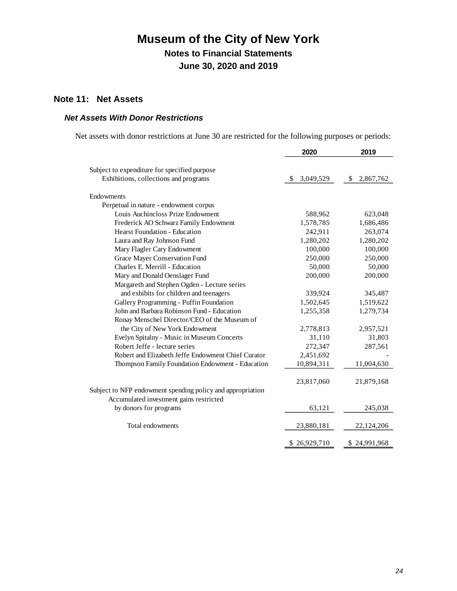# **Note 11: Net Assets**

### *Net Assets With Donor Restrictions*

Net assets with donor restrictions at June 30 are restricted for the following purposes or periods:

|                                                            | 2020            | 2019            |
|------------------------------------------------------------|-----------------|-----------------|
|                                                            |                 |                 |
| Subject to expenditure for specified purpose               |                 |                 |
| Exhibitions, collections and programs                      | \$<br>3,049,529 | \$<br>2,867,762 |
| Endowments                                                 |                 |                 |
| Perpetual in nature - endowment corpus                     |                 |                 |
| Louis Auchincloss Prize Endowment                          | 588,962         | 623,048         |
| Frederick AO Schwarz Family Endowment                      | 1,578,785       | 1,686,486       |
| <b>Hearst Foundation - Education</b>                       | 242,911         | 263,074         |
| Laura and Ray Johnson Fund                                 | 1,280,202       | 1,280,202       |
| Mary Flagler Cary Endowment                                | 100,000         | 100,000         |
| Grace Mayer Conservation Fund                              | 250,000         | 250,000         |
| Charles E. Merrill - Education                             | 50,000          | 50,000          |
| Mary and Donald Oenslager Fund                             | 200,000         | 200,000         |
| Margareth and Stephen Ogden - Lecture series               |                 |                 |
| and exhibits for children and teenagers                    | 339,924         | 345,487         |
| Gallery Programming - Puffin Foundation                    | 1,502,645       | 1,519,622       |
| John and Barbara Robinson Fund - Education                 | 1,255,358       | 1,279,734       |
| Ronay Menschel Director/CEO of the Museum of               |                 |                 |
| the City of New York Endowment                             | 2,778,813       | 2,957,521       |
| Evelyn Spitalny - Music in Museum Concerts                 | 31,110          | 31,803          |
| Robert Jeffe - lecture series                              | 272,347         | 287,561         |
| Robert and Elizabeth Jeffe Endowment Chief Curator         | 2,451,692       |                 |
| Thompson Family Foundation Endowment - Education           | 10,894,311      | 11,004,630      |
|                                                            |                 |                 |
|                                                            | 23,817,060      | 21,879,168      |
| Subject to NFP endowment spending policy and appropriation |                 |                 |
| Accumulated investment gains restricted                    |                 |                 |
| by donors for programs                                     | 63,121          | 245,038         |
|                                                            |                 |                 |
| Total endowments                                           | 23,880,181      | 22,124,206      |
|                                                            | \$26,929,710    | \$24,991,968    |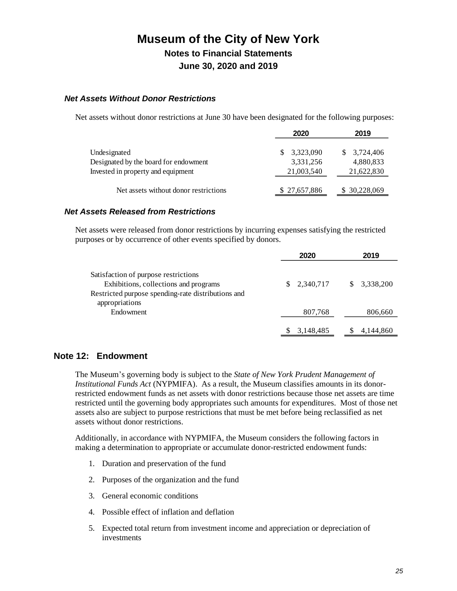### *Net Assets Without Donor Restrictions*

Net assets without donor restrictions at June 30 have been designated for the following purposes:

|                                       | 2020         | 2019            |
|---------------------------------------|--------------|-----------------|
| Undesignated                          | 3,323,090    | 3,724,406<br>S. |
| Designated by the board for endowment | 3,331,256    | 4,880,833       |
| Invested in property and equipment    | 21,003,540   | 21,622,830      |
| Net assets without donor restrictions | \$27,657,886 | \$ 30,228,069   |

#### *Net Assets Released from Restrictions*

Net assets were released from donor restrictions by incurring expenses satisfying the restricted purposes or by occurrence of other events specified by donors.

|                                                                                                                                                       | 2020           | 2019            |
|-------------------------------------------------------------------------------------------------------------------------------------------------------|----------------|-----------------|
| Satisfaction of purpose restrictions<br>Exhibitions, collections and programs<br>Restricted purpose spending-rate distributions and<br>appropriations | 2,340,717<br>S | 3,338,200<br>S. |
| Endowment                                                                                                                                             | 807,768        | 806,660         |
|                                                                                                                                                       | 3,148,485      | 4.144.860       |

### **Note 12: Endowment**

The Museum's governing body is subject to the *State of New York Prudent Management of Institutional Funds Act* (NYPMIFA). As a result, the Museum classifies amounts in its donorrestricted endowment funds as net assets with donor restrictions because those net assets are time restricted until the governing body appropriates such amounts for expenditures. Most of those net assets also are subject to purpose restrictions that must be met before being reclassified as net assets without donor restrictions.

Additionally, in accordance with NYPMIFA, the Museum considers the following factors in making a determination to appropriate or accumulate donor-restricted endowment funds:

- 1. Duration and preservation of the fund
- 2. Purposes of the organization and the fund
- 3. General economic conditions
- 4. Possible effect of inflation and deflation
- 5. Expected total return from investment income and appreciation or depreciation of investments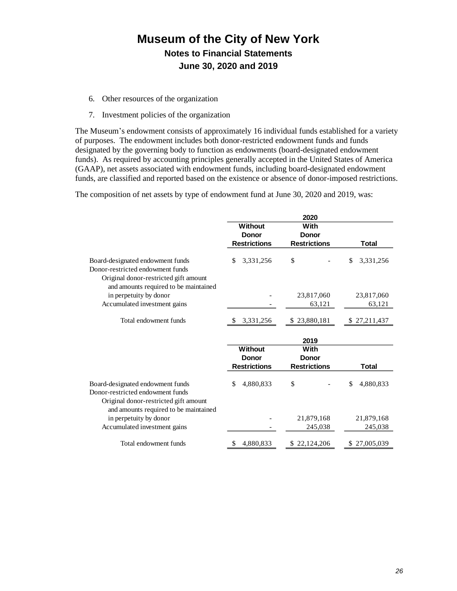- 6. Other resources of the organization
- 7. Investment policies of the organization

The Museum's endowment consists of approximately 16 individual funds established for a variety of purposes. The endowment includes both donor-restricted endowment funds and funds designated by the governing body to function as endowments (board-designated endowment funds). As required by accounting principles generally accepted in the United States of America (GAAP), net assets associated with endowment funds, including board-designated endowment funds, are classified and reported based on the existence or absence of donor-imposed restrictions.

The composition of net assets by type of endowment fund at June 30, 2020 and 2019, was:

|                                                                                |                     | 2020                |     |              |
|--------------------------------------------------------------------------------|---------------------|---------------------|-----|--------------|
|                                                                                | Without             | With                |     |              |
|                                                                                | <b>Donor</b>        | Donor               |     |              |
|                                                                                | <b>Restrictions</b> | <b>Restrictions</b> |     | <b>Total</b> |
| Board-designated endowment funds<br>Donor-restricted endowment funds           | \$<br>3,331,256     | \$                  | \$  | 3,331,256    |
| Original donor-restricted gift amount<br>and amounts required to be maintained |                     |                     |     |              |
| in perpetuity by donor                                                         |                     | 23,817,060          |     | 23,817,060   |
| Accumulated investment gains                                                   |                     | 63,121              |     | 63,121       |
| Total endowment funds                                                          | 3,331,256           | \$23,880,181        |     | \$27,211,437 |
|                                                                                |                     | 2019                |     |              |
|                                                                                | <b>Without</b>      | With                |     |              |
|                                                                                | <b>Donor</b>        | Donor               |     |              |
|                                                                                | <b>Restrictions</b> | <b>Restrictions</b> |     | <b>Total</b> |
| Board-designated endowment funds<br>Donor-restricted endowment funds           | \$<br>4.880.833     | \$                  | \$. | 4,880,833    |
|                                                                                |                     |                     |     |              |
| Original donor-restricted gift amount<br>and amounts required to be maintained |                     |                     |     |              |
| in perpetuity by donor                                                         |                     | 21,879,168          |     | 21,879,168   |
| Accumulated investment gains                                                   |                     | 245,038             |     | 245,038      |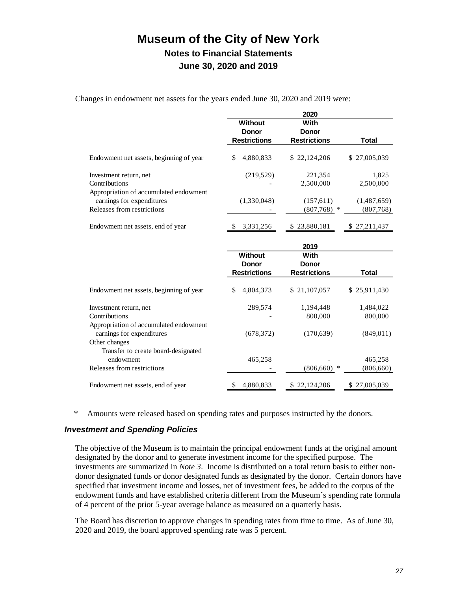|                                                                     |                     | 2020                |              |
|---------------------------------------------------------------------|---------------------|---------------------|--------------|
|                                                                     | <b>Without</b>      | With                |              |
|                                                                     | <b>Donor</b>        | <b>Donor</b>        |              |
|                                                                     | <b>Restrictions</b> | <b>Restrictions</b> | <b>Total</b> |
| Endowment net assets, beginning of year                             | \$<br>4,880,833     | \$22,124,206        | \$27,005,039 |
| Investment return, net                                              | (219, 529)          | 221,354             | 1,825        |
| Contributions                                                       |                     | 2,500,000           | 2,500,000    |
| Appropriation of accumulated endowment<br>earnings for expenditures | (1,330,048)         | (157, 611)          | (1,487,659)  |
| Releases from restrictions                                          |                     |                     |              |
|                                                                     |                     | $(807,768)$ *       | (807,768)    |
| Endowment net assets, end of year                                   | \$<br>3,331,256     | \$23,880,181        | \$27,211,437 |
|                                                                     |                     | 2019                |              |
|                                                                     | <b>Without</b>      | With                |              |
|                                                                     | Donor               | <b>Donor</b>        |              |
|                                                                     | <b>Restrictions</b> | <b>Restrictions</b> | Total        |
| Endowment net assets, beginning of year                             | \$<br>4,804,373     | \$21,107,057        | \$25,911,430 |
| Investment return, net                                              | 289,574             | 1,194,448           | 1,484,022    |
| Contributions                                                       |                     | 800,000             | 800,000      |
| Appropriation of accumulated endowment                              |                     |                     |              |
| earnings for expenditures                                           | (678, 372)          | (170, 639)          | (849, 011)   |
| Other changes                                                       |                     |                     |              |
| Transfer to create board-designated                                 |                     |                     |              |
| endowment                                                           | 465,258             |                     | 465,258      |
| Releases from restrictions                                          |                     | $(806,660)$ *       | (806, 660)   |
| Endowment net assets, end of year                                   | \$<br>4,880,833     | \$22,124,206        | \$27,005,039 |

Changes in endowment net assets for the years ended June 30, 2020 and 2019 were:

\* Amounts were released based on spending rates and purposes instructed by the donors.

#### *Investment and Spending Policies*

The objective of the Museum is to maintain the principal endowment funds at the original amount designated by the donor and to generate investment income for the specified purpose. The investments are summarized in *Note 3*. Income is distributed on a total return basis to either nondonor designated funds or donor designated funds as designated by the donor. Certain donors have specified that investment income and losses, net of investment fees, be added to the corpus of the endowment funds and have established criteria different from the Museum's spending rate formula of 4 percent of the prior 5-year average balance as measured on a quarterly basis.

The Board has discretion to approve changes in spending rates from time to time. As of June 30, 2020 and 2019, the board approved spending rate was 5 percent.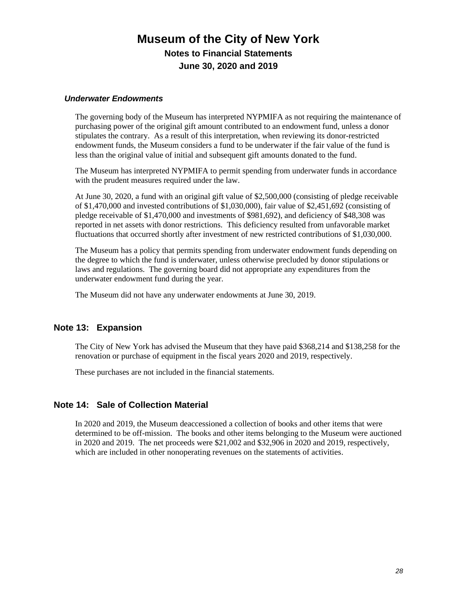#### *Underwater Endowments*

The governing body of the Museum has interpreted NYPMIFA as not requiring the maintenance of purchasing power of the original gift amount contributed to an endowment fund, unless a donor stipulates the contrary. As a result of this interpretation, when reviewing its donor-restricted endowment funds, the Museum considers a fund to be underwater if the fair value of the fund is less than the original value of initial and subsequent gift amounts donated to the fund.

The Museum has interpreted NYPMIFA to permit spending from underwater funds in accordance with the prudent measures required under the law.

At June 30, 2020, a fund with an original gift value of \$2,500,000 (consisting of pledge receivable of \$1,470,000 and invested contributions of \$1,030,000), fair value of \$2,451,692 (consisting of pledge receivable of \$1,470,000 and investments of \$981,692), and deficiency of \$48,308 was reported in net assets with donor restrictions. This deficiency resulted from unfavorable market fluctuations that occurred shortly after investment of new restricted contributions of \$1,030,000.

The Museum has a policy that permits spending from underwater endowment funds depending on the degree to which the fund is underwater, unless otherwise precluded by donor stipulations or laws and regulations. The governing board did not appropriate any expenditures from the underwater endowment fund during the year.

The Museum did not have any underwater endowments at June 30, 2019.

### **Note 13: Expansion**

The City of New York has advised the Museum that they have paid \$368,214 and \$138,258 for the renovation or purchase of equipment in the fiscal years 2020 and 2019, respectively.

These purchases are not included in the financial statements.

### **Note 14: Sale of Collection Material**

In 2020 and 2019, the Museum deaccessioned a collection of books and other items that were determined to be off-mission. The books and other items belonging to the Museum were auctioned in 2020 and 2019. The net proceeds were \$21,002 and \$32,906 in 2020 and 2019, respectively, which are included in other nonoperating revenues on the statements of activities.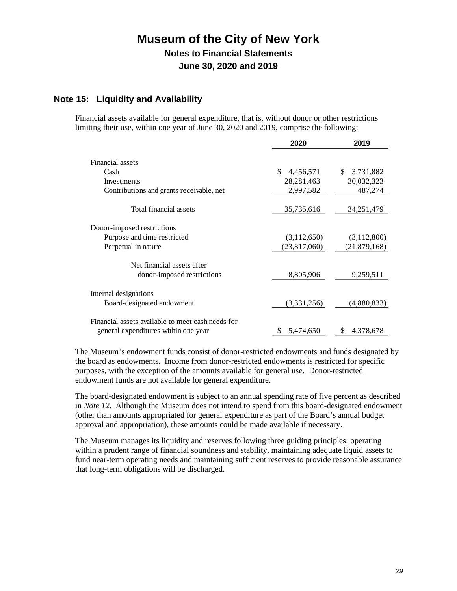### **Note 15: Liquidity and Availability**

Financial assets available for general expenditure, that is, without donor or other restrictions limiting their use, within one year of June 30, 2020 and 2019, comprise the following:

|                                                   | 2020            | 2019            |
|---------------------------------------------------|-----------------|-----------------|
|                                                   |                 |                 |
| Financial assets                                  |                 |                 |
| Cash                                              | \$<br>4,456,571 | \$<br>3,731,882 |
| Investments                                       | 28, 281, 463    | 30,032,323      |
| Contributions and grants receivable, net          | 2,997,582       | 487,274         |
|                                                   |                 |                 |
| Total financial assets                            | 35,735,616      | 34,251,479      |
| Donor-imposed restrictions                        |                 |                 |
| Purpose and time restricted                       | (3,112,650)     | (3,112,800)     |
| Perpetual in nature                               | (23,817,060)    | (21,879,168)    |
| Net financial assets after                        |                 |                 |
| donor-imposed restrictions                        | 8,805,906       | 9,259,511       |
| Internal designations                             |                 |                 |
| Board-designated endowment                        | (3,331,256)     | (4,880,833)     |
| Financial assets available to meet cash needs for |                 |                 |
| general expenditures within one year              | 5,474,650<br>S. | 4,378,678       |

The Museum's endowment funds consist of donor-restricted endowments and funds designated by the board as endowments. Income from donor-restricted endowments is restricted for specific purposes, with the exception of the amounts available for general use. Donor-restricted endowment funds are not available for general expenditure.

The board-designated endowment is subject to an annual spending rate of five percent as described in *Note 12*. Although the Museum does not intend to spend from this board-designated endowment (other than amounts appropriated for general expenditure as part of the Board's annual budget approval and appropriation), these amounts could be made available if necessary.

The Museum manages its liquidity and reserves following three guiding principles: operating within a prudent range of financial soundness and stability, maintaining adequate liquid assets to fund near-term operating needs and maintaining sufficient reserves to provide reasonable assurance that long-term obligations will be discharged.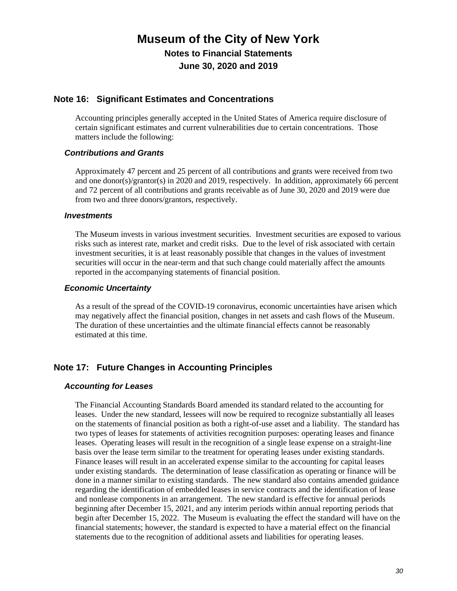#### **Note 16: Significant Estimates and Concentrations**

Accounting principles generally accepted in the United States of America require disclosure of certain significant estimates and current vulnerabilities due to certain concentrations. Those matters include the following:

#### *Contributions and Grants*

Approximately 47 percent and 25 percent of all contributions and grants were received from two and one donor(s)/grantor(s) in 2020 and 2019, respectively. In addition, approximately 66 percent and 72 percent of all contributions and grants receivable as of June 30, 2020 and 2019 were due from two and three donors/grantors, respectively.

#### *Investments*

The Museum invests in various investment securities. Investment securities are exposed to various risks such as interest rate, market and credit risks. Due to the level of risk associated with certain investment securities, it is at least reasonably possible that changes in the values of investment securities will occur in the near-term and that such change could materially affect the amounts reported in the accompanying statements of financial position.

#### *Economic Uncertainty*

As a result of the spread of the COVID-19 coronavirus, economic uncertainties have arisen which may negatively affect the financial position, changes in net assets and cash flows of the Museum. The duration of these uncertainties and the ultimate financial effects cannot be reasonably estimated at this time.

# **Note 17: Future Changes in Accounting Principles**

#### *Accounting for Leases*

The Financial Accounting Standards Board amended its standard related to the accounting for leases. Under the new standard, lessees will now be required to recognize substantially all leases on the statements of financial position as both a right-of-use asset and a liability. The standard has two types of leases for statements of activities recognition purposes: operating leases and finance leases. Operating leases will result in the recognition of a single lease expense on a straight-line basis over the lease term similar to the treatment for operating leases under existing standards. Finance leases will result in an accelerated expense similar to the accounting for capital leases under existing standards. The determination of lease classification as operating or finance will be done in a manner similar to existing standards. The new standard also contains amended guidance regarding the identification of embedded leases in service contracts and the identification of lease and nonlease components in an arrangement. The new standard is effective for annual periods beginning after December 15, 2021, and any interim periods within annual reporting periods that begin after December 15, 2022. The Museum is evaluating the effect the standard will have on the financial statements; however, the standard is expected to have a material effect on the financial statements due to the recognition of additional assets and liabilities for operating leases.